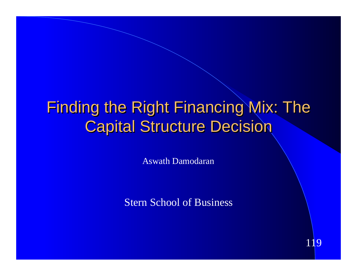# Finding the Right Financing Mix: The **Capital Structure Decision**

Aswath Damodaran

Stern School of Business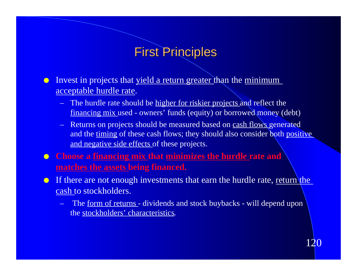#### First Principles

**Invest in projects that yield a return greater than the minimum** acceptable hurdle rate.

- The hurdle rate should be higher for riskier projects and reflect the financing mix used - owners' funds (equity) or borrowed money (debt)
- Returns on projects should be measured based on cash flows generated and the timing of these cash flows; they should also consider both positive and negative side effects of these projects.
- **Choose a financing mix that minimizes the hurdle rate and matches the assets being financed.**
- **If there are not enough investments that earn the hurdle rate, return the** cash to stockholders.
	- The <u>form of returns</u> dividends and stock buybacks will depend upon the stockholders' characteristics.

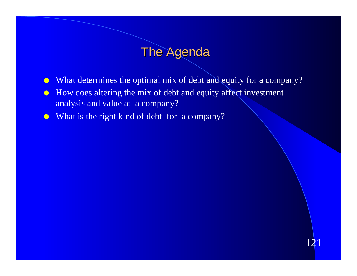### **The Agenda**

• What determines the optimal mix of debt and equity for a company?

- $\bullet$  How does altering the mix of debt and equity affect investment analysis and value at a company?
- $\bullet$  What is the right kind of debt for a company?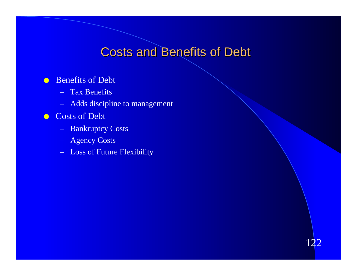### **Costs and Benefits of Debt**

122

#### **C** Benefits of Debt

- Tax Benefits
- Adds discipline to management
- **Costs of Debt** 
	- Bankruptcy Costs
	- Agency Costs
	- Loss of Future Flexibility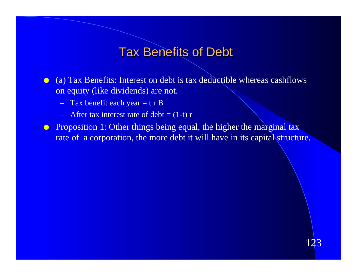#### Tax Benefits of Debt

- $\bullet$  (a) Tax Benefits: Interest on debt is tax deductible whereas cashflows on equity (like dividends) are not.
	- $-$  Tax benefit each year = t r B
	- After tax interest rate of debt =  $(1-\bar{t})$  r
- **•** Proposition 1: Other things being equal, the higher the marginal tax rate of a corporation, the more debt it will have in its capital structure.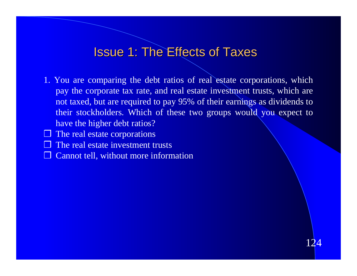#### Issue 1: The Effects of Taxes

1. You are comparing the debt ratios of real estate corporations, which pay the corporate tax rate, and real estate investment trusts, which are not taxed, but are required to pay 95% of their earnings as dividends to their stockholders. Which of these two groups would you expect to have the higher debt ratios?

- $\Box$  The real estate corporations
- $\Box$  The real estate investment trusts
- ❒ Cannot tell, without more information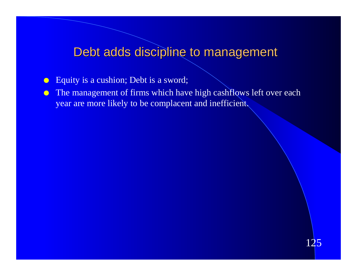## Debt adds discipline to management

- Equity is a cushion; Debt is a sword;
- **In The management of firms which have high cashflows left over each** year are more likely to be complacent and inefficient.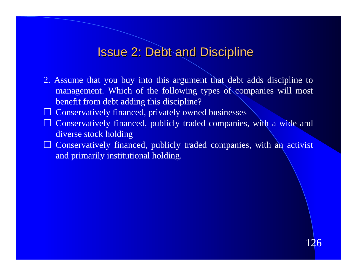#### Issue 2: Debt and Discipline

- 2. Assume that you buy into this argument that debt adds discipline to management. Which of the following types of companies will most benefit from debt adding this discipline?
- ❒ Conservatively financed, privately owned businesses
- ❒ Conservatively financed, publicly traded companies, with a wide and diverse stock holding
- ❒ Conservatively financed, publicly traded companies, with an activist and primarily institutional holding.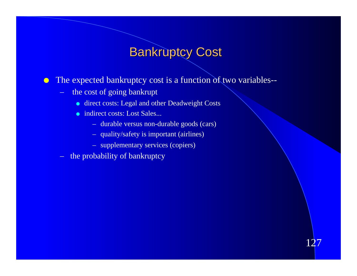## Bankruptcy Cost

- **The expected bankruptcy cost is a function of two variables-**
	- the cost of going bankrupt
		- **e** direct costs: Legal and other Deadweight Costs
		- indirect costs: Lost Sales...
			- durable versus non-durable goods (cars)
			- quality/safety is important (airlines)
			- supplementary services (copiers)
	- the probability of bankruptcy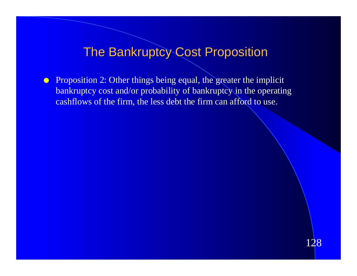### The Bankruptcy Cost Proposition

**Proposition 2: Other things being equal, the greater the implicit** bankruptcy cost and/or probability of bankruptcy in the operating cashflows of the firm, the less debt the firm can afford to use.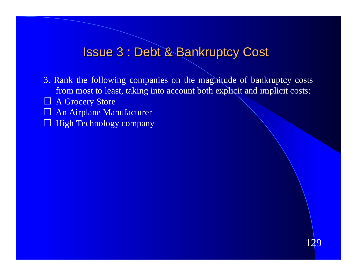#### Issue 3 : Debt & Bankruptcy Cost

3. Rank the following companies on the magnitude of bankruptcy costs from most to least, taking into account both explicit and implicit costs:

- ❒ A Grocery Store
- ❒ An Airplane Manufacturer
- ❒ High Technology company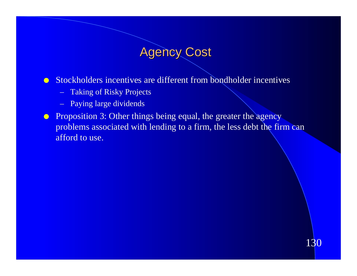### **Agency Cost**

**o** Stockholders incentives are different from bondholder incentives

- Taking of Risky Projects
- Paying large dividends
- **In Proposition 3: Other things being equal, the greater the agency** problems associated with lending to a firm, the less debt the firm can afford to use.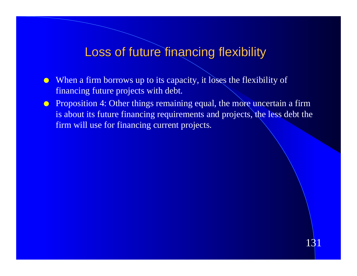#### Loss of future financing flexibility

- $\bullet$  When a firm borrows up to its capacity, it loses the flexibility of financing future projects with debt.
- **•** Proposition 4: Other things remaining equal, the more uncertain a firm is about its future financing requirements and projects, the less debt the firm will use for financing current projects.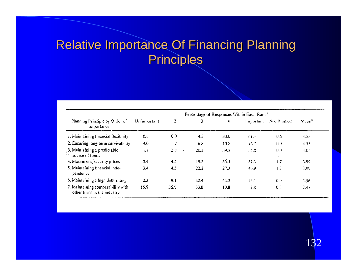## Relative Importance Of Financing Planning **Principles**

| Planning Principle by Order of<br>Importance                     | Percentage of Responses Within Each Rank <sup>a</sup> |                  |                |                      |           |            |                   |
|------------------------------------------------------------------|-------------------------------------------------------|------------------|----------------|----------------------|-----------|------------|-------------------|
|                                                                  | Unimportant                                           | 2                | 3              | $\blacktriangleleft$ | Important | Not Ranked | Mean <sup>h</sup> |
| 1. Maintaining financial flexibility                             | 0.6                                                   | 0.0              | 4.5            | 33.0                 | 01.4      | 0.6        | 4.55              |
| 2. Ensuring long-term survivability                              | 4.0                                                   | 1.7              | 68             | 10.8                 | 76.7      | 0.0        | 4.55              |
| 3. Maintaining a predictable<br>source of funds<br>سم            | 1.7                                                   | 2.8<br>$\bullet$ | 20.5           | 39.2                 | 35.8      | (0,0)      | 4.05              |
| 4. Maximizing security prices                                    | 3,4                                                   | 4.5              | 19.3           | 33.5                 | 37.5      | 1.7        | 3.99              |
| 5. Maintaining financial inde-<br>pendence                       | 3.4                                                   | 4.5              | 22.2           | 27.3                 | 40.9      | 1.7        | 3.99              |
| 6. Maintaining a high debt rating                                | 2.3                                                   | 9.1              | 32.4           | 43.2                 | 13.1      | 0.0        | 3.56              |
| 7. Maintaining comparability with<br>other firms in the industry | 15.9                                                  | 36.9             | $33.0^{\circ}$ | 10.8                 | 2.8       | 0.6        | 2.47              |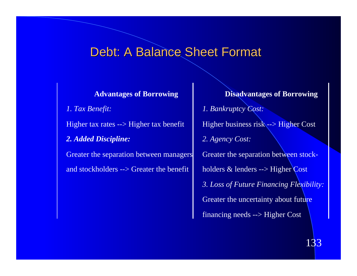#### Debt: A Balance Sheet Format

*1. Tax Benefit:* Higher tax rates --> Higher tax benefit *2. Added Discipline:* Greater the separation between managers and stockholders --> Greater the benefit

**Advantages of Borrowing Disadvantages of Borrowing** *1. Bankruptcy Cost:* Higher business risk --> Higher Cost *2. Agency Cost:* Greater the separation between stockholders & lenders --> Higher Cost *3. Loss of Future Financing Flexibility:* Greater the uncertainty about future financing needs --> Higher Cost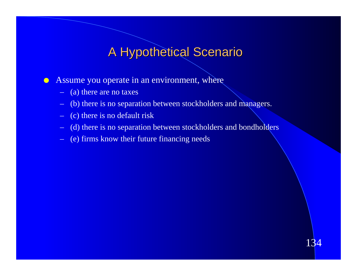### A Hypothetical Scenario

 $\bullet$  Assume you operate in an environment, where

- (a) there are no taxes
- (b) there is no separation between stockholders and managers.
- (c) there is no default risk
- (d) there is no separation between stockholders and bondholders
- (e) firms know their future financing needs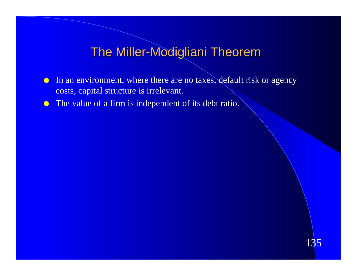### The Miller-Modigliani Theorem

- In an environment, where there are no taxes, default risk or agency costs, capital structure is irrelevant.
- The value of a firm is independent of its debt ratio.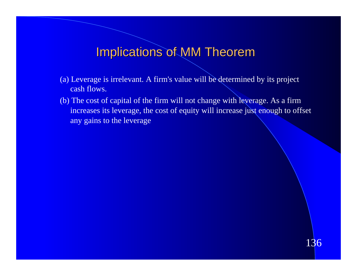### Implications of MM Theorem

- (a) Leverage is irrelevant. A firm's value will be determined by its project cash flows.
- (b) The cost of capital of the firm will not change with leverage. As a firm increases its leverage, the cost of equity will increase just enough to offset any gains to the leverage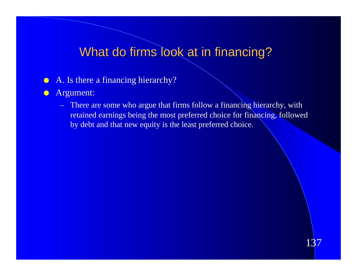### What do firms look at in financing?

- $\bullet$  A. Is there a financing hierarchy?
- **Argument:** 
	- There are some who argue that firms follow a financing hierarchy, with retained earnings being the most preferred choice for financing, followed by debt and that new equity is the least preferred choice.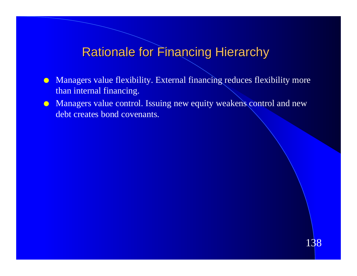### **Rationale for Financing Hierarchy**

- Managers value flexibility. External financing reduces flexibility more than internal financing.
- **In Managers value control. Issuing new equity weakens control and new** debt creates bond covenants.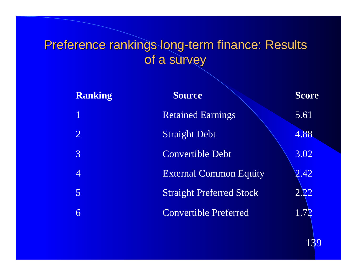## Preference rankings long-term finance: Results of a survey

| <b>Ranking</b> | <b>Source</b>                   | <b>Score</b> |
|----------------|---------------------------------|--------------|
|                | <b>Retained Earnings</b>        | 5.61         |
| $\overline{2}$ | <b>Straight Debt</b>            | 4.88         |
| 3              | Convertible Debt                | 3.02         |
|                | <b>External Common Equity</b>   | 2.42         |
| $\overline{5}$ | <b>Straight Preferred Stock</b> | <u>2.22</u>  |
| 6              | <b>Convertible Preferred</b>    | 1.72         |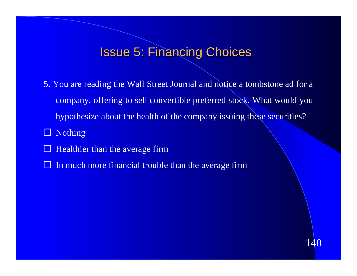#### Issue 5: Financing Choices

5. You are reading the Wall Street Journal and notice a tombstone ad for a company, offering to sell convertible preferred stock. What would you hypothesize about the health of the company issuing these securities?

- ❒ Nothing
- $\Box$  Healthier than the average firm
- $\Box$  In much more financial trouble than the average firm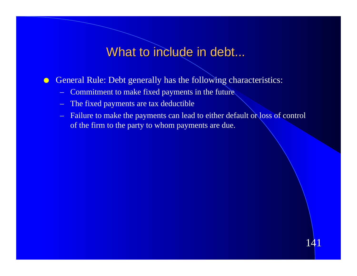### What to include in debt...

**C** General Rule: Debt generally has the following characteristics:

- Commitment to make fixed payments in the future
- The fixed payments are tax deductible
- Failure to make the payments can lead to either default or loss of control of the firm to the party to whom payments are due.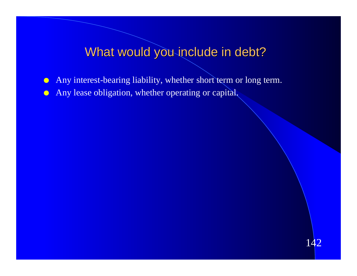#### What would you include in debt?

- l Any interest-bearing liability, whether short term or long term.
- **In Any lease obligation, whether operating or capital.**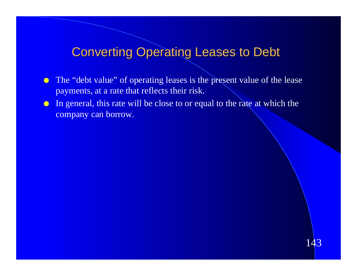#### Converting Operating Leases to Debt

- The "debt value" of operating leases is the present value of the lease payments, at a rate that reflects their risk.
- In general, this rate will be close to or equal to the rate at which the company can borrow.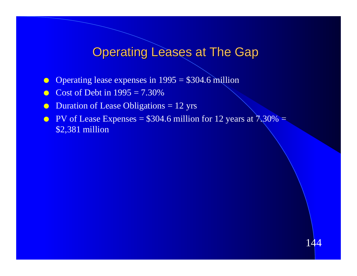### **Operating Leases at The Gap**

- **O** Operating lease expenses in  $1995 = $304.6$  million
- $\bullet$  Cost of Debt in 1995 = 7.30%
- Duration of Lease Obligations  $= 12$  yrs
- **PV** of Lease Expenses =  $$304.6$  million for 12 years at  $7.30\%$  = \$2,381 million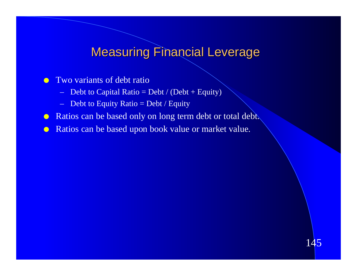### Measuring Financial Leverage

#### **IVO variants of debt ratio**

- Debt to Capital Ratio = Debt / (Debt + Equity)
- $-$  Debt to Equity Ratio  $=$  Debt / Equity
- **Ratios can be based only on long term debt or total debt.**
- **Ratios can be based upon book value or market value.**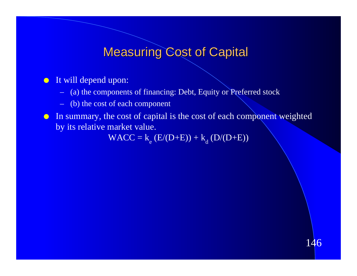### **Measuring Cost of Capital**

#### $\bullet$  It will depend upon:

- (a) the components of financing: Debt, Equity or Preferred stock
- (b) the cost of each component
- In summary, the cost of capital is the cost of each component weighted by its relative market value.

 $WACC = k_e (E/(D+E)) + k_d (D/(D+E))$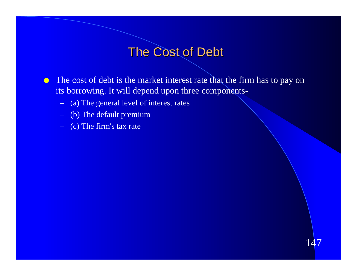### The Cost of Debt

**IF The cost of debt is the market interest rate that the firm has to pay on** its borrowing. It will depend upon three components-

- (a) The general level of interest rates
- (b) The default premium
- (c) The firm's tax rate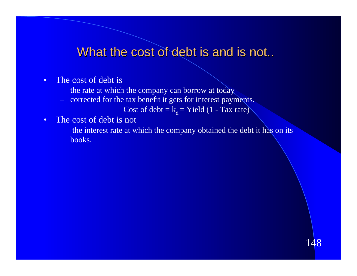#### What the cost of debt is and is not..

- The cost of debt is
	- the rate at which the company can borrow at today
	- corrected for the tax benefit it gets for interest payments.

Cost of debt =  $k_d$  = Yield (1 - Tax rate)

- The cost of debt is not
	- the interest rate at which the company obtained the debt it has on its books.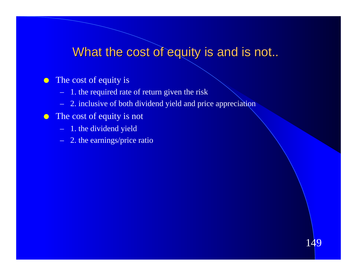### What the cost of equity is and is not..

149

#### $\bullet$  The cost of equity is

- 1. the required rate of return given the risk
- 2. inclusive of both dividend yield and price appreciation

#### $\bullet$  The cost of equity is not

- 
- 1. the dividend yield 2. the earnings/price ratio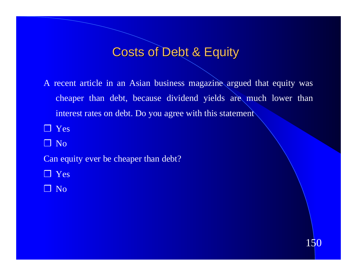#### Costs of Debt & Equity

A recent article in an Asian business magazine argued that equity was cheaper than debt, because dividend yields are much lower than interest rates on debt. Do you agree with this statement

❒ Yes

❒ No

Can equity ever be cheaper than debt?

❒ Yes

❒ No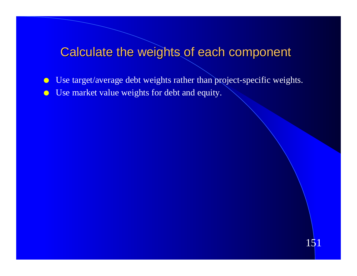## Calculate the weights of each component

**In Use target/average debt weights rather than project-specific weights. IDED** Use market value weights for debt and equity.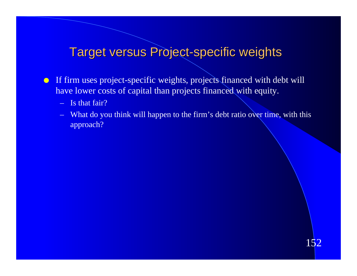#### Target versus Project-specific weights

- $\bullet$  If firm uses project-specific weights, projects financed with debt will have lower costs of capital than projects financed with equity.
	- Is that fair?
	- What do you think will happen to the firm's debt ratio over time, with this approach?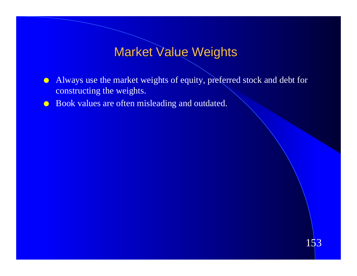### Market Value Weights

- Always use the market weights of equity, preferred stock and debt for constructing the weights.
- **IDED** Book values are often misleading and outdated.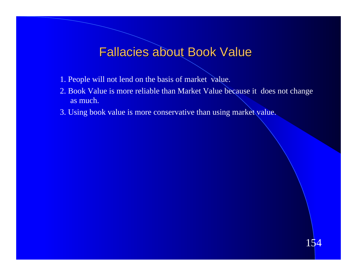#### Fallacies about Book Value

- 1. People will not lend on the basis of market value.
- 2. Book Value is more reliable than Market Value because it does not change as much.
- 3. Using book value is more conservative than using market value.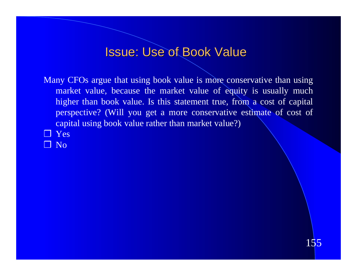#### Issue: Use of Book Value

Many CFOs argue that using book value is more conservative than using market value, because the market value of equity is usually much higher than book value. Is this statement true, from a cost of capital perspective? (Will you get a more conservative estimate of cost of capital using book value rather than market value?)

- ❒ Yes
- ❒ No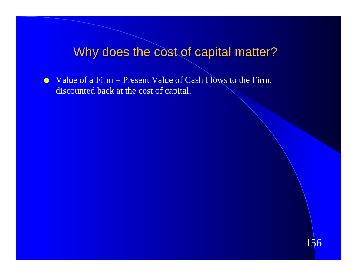#### Why does the cost of capital matter?

 $\bullet$  Value of a Firm = Present Value of Cash Flows to the Firm, discounted back at the cost of capital.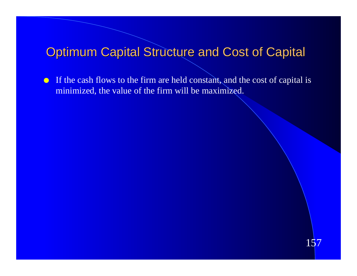#### **Optimum Capital Structure and Cost of Capital**

If the cash flows to the firm are held constant, and the cost of capital is minimized, the value of the firm will be maximized.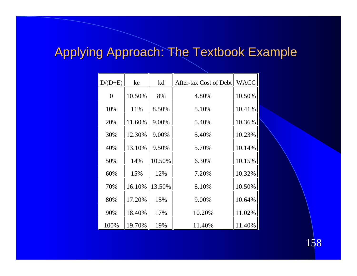## Applying Approach: The Textbook Example

| $D/D+E$        | ke     | kd     | After-tax Cost of Debt | <b>WACC</b> |
|----------------|--------|--------|------------------------|-------------|
| $\overline{0}$ | 10.50% | 8%     | 4.80%                  | 10.50%      |
| 10%            | 11%    | 8.50%  | 5.10%                  | 10.41%      |
| 20%            | 11.60% | 9.00%  | 5.40%                  | 10.36%      |
| 30%            | 12.30% | 9.00%  | 5.40%                  | 10.23%      |
| 40%            | 13.10% | 9.50%  | 5.70%                  | 10.14%      |
| 50%            | 14%    | 10.50% | 6.30%                  | 10.15%      |
| 60%            | 15%    | 12%    | 7.20%                  | 10.32%      |
| 70%            | 16.10% | 13.50% | 8.10%                  | 10.50%      |
| 80%            | 17.20% | 15%    | 9.00%                  | 10.64%      |
| 90%            | 18.40% | 17%    | 10.20%                 | 11.02%      |
| 100%           | 19.70% | 19%    | 11.40%                 | 11.40%      |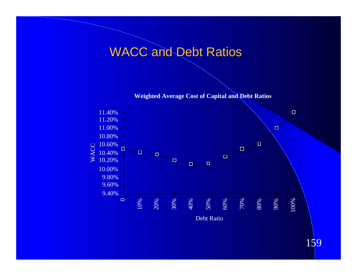### WACC and Debt Ratios

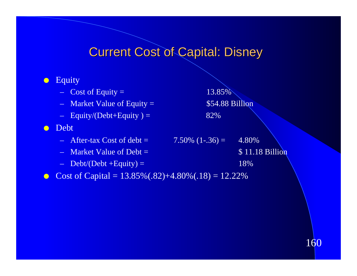### Current Cost of Capital: Disney

#### **C** Equity

- $-$  Cost of Equity = 13.85%
- Market Value of Equity = \$54.88 Billion
- $-$  Equity/(Debt+Equity ) = 82%

#### **o** Debt

- $-$  After-tax Cost of debt = 7.50% (1-.36) = 4.80%
- 
- $-$  Debt/(Debt +Equity) = 18%

– Market Value of Debt  $=$  \$ 11.18 Billion

• Cost of Capital =  $13.85\%(0.82)+4.80\%(0.18) = 12.22\%$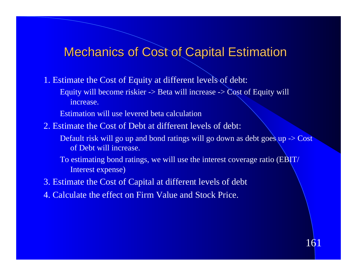#### **Mechanics of Cost of Capital Estimation**

- 1. Estimate the Cost of Equity at different levels of debt:
	- Equity will become riskier  $\rightarrow$  Beta will increase  $\rightarrow$  Cost of Equity will increase.

Estimation will use levered beta calculation

- 2. Estimate the Cost of Debt at different levels of debt:
	- Default risk will go up and bond ratings will go down as debt goes up  $\rightarrow$  Cost of Debt will increase.
	- To estimating bond ratings, we will use the interest coverage ratio (EBIT/ Interest expense)
- 3. Estimate the Cost of Capital at different levels of debt
- 4. Calculate the effect on Firm Value and Stock Price.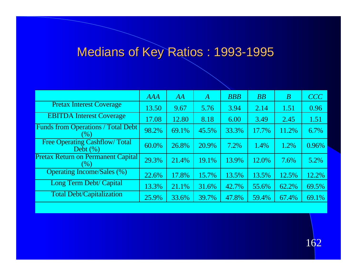## Medians of Key Ratios : 1993-1995

|                                                       | <b>AAA</b> | AA    | A     | <b>BBB</b> | BB    | $\boldsymbol{B}$ | CCC   |
|-------------------------------------------------------|------------|-------|-------|------------|-------|------------------|-------|
| <b>Pretax Interest Coverage</b>                       | 13.50      | 9.67  | 5.76  | 3.94       | 2.14  | 1.51             | 0.96  |
| <b>EBITDA Interest Coverage</b>                       | 17.08      | 12.80 | 8.18  | 6.00       | 3.49  | 2.45             | 1.51  |
| <b>Funds from Operations / Total Debt</b><br>$( \% )$ | 98.2%      | 69.1% | 45.5% | 33.3%      | 17.7% | 11.2%            | 6.7%  |
| <b>Free Operating Cashflow/Total</b><br>Debt $(\% )$  | 60.0%      | 26.8% | 20.9% | $7.2\%$    | 1.4%  | 1.2%             | 0.96% |
| <b>Pretax Return on Permanent Capital</b><br>$(\%)$   | 29.3%      | 21.4% | 19.1% | 13.9%      | 12.0% | 7.6%             | 5.2%  |
| <b>Operating Income/Sales (%)</b>                     | 22.6%      | 17.8% | 15.7% | 13.5%      | 13.5% | 12.5%            | 12.2% |
| <b>Long Term Debt/ Capital</b>                        | 13.3%      | 21.1% | 31.6% | 42.7%      | 55.6% | 62.2%            | 69.5% |
| <b>Total Debt/Capitalization</b>                      | 25.9%      | 33.6% | 39.7% | 47.8%      | 59.4% | 67.4%            | 69.1% |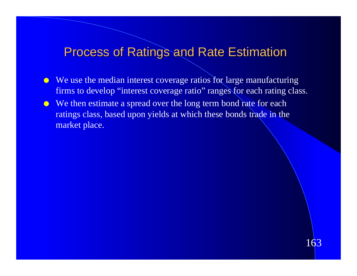#### Process of Ratings and Rate Estimation

- $\bullet$  We use the median interest coverage ratios for large manufacturing firms to develop "interest coverage ratio" ranges for each rating class.
- We then estimate a spread over the long term bond rate for each ratings class, based upon yields at which these bonds trade in the market place.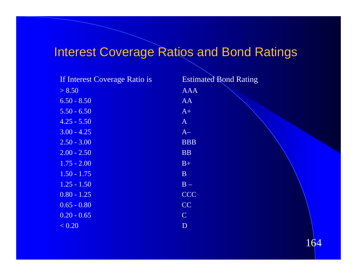## **Interest Coverage Ratios and Bond Ratings**

| If Interest Coverage Ratio is | <b>Estimated Bond Rating</b> |
|-------------------------------|------------------------------|
| > 8.50                        | <b>AAA</b>                   |
| $6.50 - 8.50$                 | AA                           |
| $5.50 - 6.50$                 | $A+$                         |
| $4.25 - 5.50$                 | $\mathbf{A}$                 |
| $3.00 - 4.25$                 | $A-$                         |
| $2.50 - 3.00$                 | <b>BBB</b>                   |
| $2.00 - 2.50$                 | <b>BB</b>                    |
| $1.75 - 2.00$                 | $B+$                         |
| $1.50 - 1.75$                 | $\mathbf{B}$                 |
| $1.25 - 1.50$                 | $B -$                        |
| $0.80 - 1.25$                 | <b>CCC</b>                   |
| $0.65 - 0.80$                 | CC                           |
| $0.20 - 0.65$                 | $\mathbf C$                  |
| < 0.20                        | $\mathbf{D}$                 |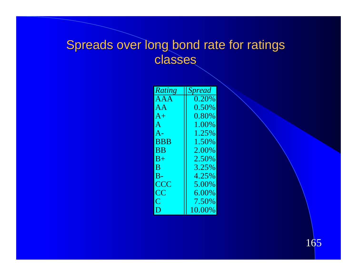### Spreads over long bond rate for ratings classes

| Rating         | <b>Spread</b> |  |
|----------------|---------------|--|
| <b>AAA</b>     | 0.20%         |  |
| AA             | 0.50%         |  |
| $A+$           | $0.80\%$      |  |
| $\mathsf{A}$   | 1.00%         |  |
| $A -$          | 1.25%         |  |
| <b>BBB</b>     | 1.50%         |  |
| <b>BB</b>      | 2.00%         |  |
| $B+$           | 2.50%         |  |
| $\bf B$        | 3.25%         |  |
| $B -$          | 4.25%         |  |
| <b>CCC</b>     | 5.00%         |  |
| CC             | $6.00\%$      |  |
| $\overline{C}$ | 7.50%         |  |
| D              | 10.00%        |  |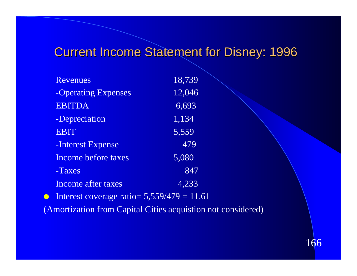### Current Income Statement for Disney: 1996

| Revenues            | 18,739             |
|---------------------|--------------------|
| -Operating Expenses | 12,046             |
| <b>EBITDA</b>       | 6,693              |
| -Depreciation       | $\overline{1,134}$ |
| <b>EBIT</b>         | 5,559              |
| -Interest Expense   | 479                |
| Income before taxes | 5,080              |
| -Taxes              | 847                |
| Income after taxes  | 4,233              |
|                     |                    |

Interest coverage ratio=  $5,559/479 = 11.61$ 

(Amortization from Capital Cities acquistion not considered)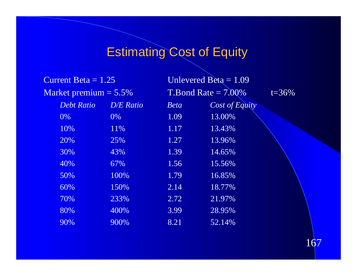# **Estimating Cost of Equity**

| Current Beta $= 1.25$    |                  |             | Unlevered Beta $= 1.09$ |            |
|--------------------------|------------------|-------------|-------------------------|------------|
| Market premium $= 5.5\%$ |                  |             | $T.Bond Rate = 7.00\%$  | $t = 36\%$ |
| <b>Debt Ratio</b>        | <b>D/E</b> Ratio | <b>Beta</b> | Cost of Equity          |            |
| 0%                       | 0%               | 1.09        | 13.00%                  |            |
| 10%                      | 11%              | 1.17        | 13.43%                  |            |
| 20%                      | 25%              | 1.27        | 13.96%                  |            |
| 30%                      | 43%              | 1.39        | 14.65%                  |            |
| 40%                      | 67%              | 1.56        | 15.56%                  |            |
| 50%                      | 100%             | 1.79        | 16.85%                  |            |
| 60%                      | 150%             | 2.14        | 18.77%                  |            |
| 70%                      | 233%             | 2.72        | 21.97%                  |            |
| 80%                      | 400%             | 3.99        | 28.95%                  |            |
| 90%                      | 900%             | 8.21        | 52.14%                  |            |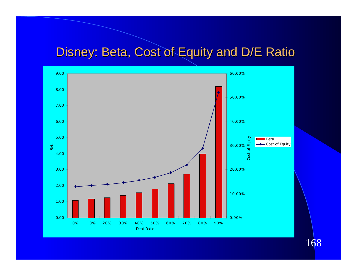### Disney: Beta, Cost of Equity and D/E Ratio

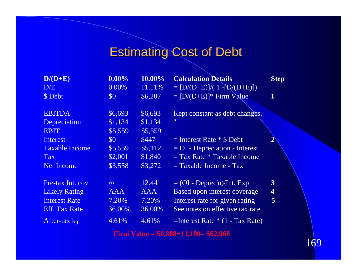## Estimating Cost of Debt

| $D/(D+E)$             | $0.00\%$          | 10.00%     | <b>Calculation Details</b>            | <b>Step</b>             |
|-----------------------|-------------------|------------|---------------------------------------|-------------------------|
| D/E                   | $0.00\%$          | 11.11\%    | $= [D/(D+E)]/(1-[D/(D+E)])$           |                         |
| \$ Debt               | $\boldsymbol{S0}$ | \$6,207    | $= [D/(\overline{D+E})]^*$ Firm Value | 1                       |
|                       |                   |            |                                       |                         |
| <b>EBITDA</b>         | \$6,693           | \$6,693    | Kept constant as debt changes.        |                         |
| Depreciation          | \$1,134           | \$1,134    | $^{\prime\prime}$                     |                         |
| <b>EBIT</b>           | \$5,559           | \$5,559    |                                       |                         |
| <b>Interest</b>       | \$0\$             | \$447      | $=$ Interest Rate $*$ \$ Debt         |                         |
| <b>Taxable Income</b> | \$5,559           | \$5,112    | $=$ OI - Depreciation - Interest      |                         |
| <b>Tax</b>            | \$2,001           | \$1,840    | $=$ Tax Rate $*$ Taxable Income       |                         |
| <b>Net Income</b>     | \$3,558           | \$3,272    | $=$ Taxable Income - Tax              |                         |
|                       |                   |            |                                       |                         |
| Pre-tax Int. cov      |                   | 12.44      | $=$ (OI - Deprec'n)/Int. Exp          | $\mathbf{3}$            |
| <b>Likely Rating</b>  | <b>AAA</b>        | <b>AAA</b> | Based upon interest coverage          | $\overline{\mathbf{4}}$ |
| <b>Interest Rate</b>  | 7.20%             | 7.20%      | Interest rate for given rating        | 5                       |
| <b>Eff.</b> Tax Rate  | 36.00%            | 36.00%     | See notes on effective tax rate       |                         |
| After-tax $k_d$       | 4.61%             | 4.61%      | $=$ Interest Rate $*(1 - Tax Rate)$   |                         |

**Firm Value = 50,888+11,180= \$62,068**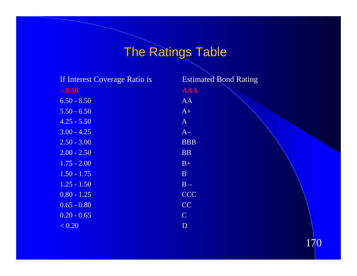# The Ratings Table

| If Interest Coverage Ratio is | <b>Estimated Bond Rating</b> |
|-------------------------------|------------------------------|
| > 8.50                        | <b>AAA</b>                   |
| $6.50 - 8.50$                 | AA                           |
| $5.50 - 6.50$                 | $A+$                         |
| $4.25 - 5.50$                 | $\mathbf{A}$                 |
| $3.00 - 4.25$                 | $A-$                         |
| $2.50 - 3.00$                 | <b>BBB</b>                   |
| $2.00 - 2.50$                 | <b>BB</b>                    |
| $1.75 - 2.00$                 | $B+$                         |
| $1.50 - 1.75$                 | $\mathbf{B}$                 |
| $1.25 - 1.50$                 | $B -$                        |
| $0.80 - 1.25$                 | <b>CCC</b>                   |
| $0.65 - 0.80$                 | CC                           |
| $0.20 - 0.65$                 | $\mathbf C$                  |
| < 0.20                        | $\mathbf{D}$                 |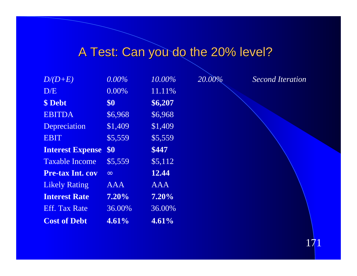## A Test: Can you do the 20% level?

| $D/(D+E)$                   | $0.00\%$   | 10.00%     | 20.00% | <b>Second Iteration</b> |
|-----------------------------|------------|------------|--------|-------------------------|
| D/E                         | 0.00%      | 11.11%     |        |                         |
| \$ Debt                     | \$0\$      | \$6,207    |        |                         |
| <b>EBITDA</b>               | \$6,968    | \$6,968    |        |                         |
| Depreciation                | \$1,409    | \$1,409    |        |                         |
| <b>EBIT</b>                 | \$5,559    | \$5,559    |        |                         |
| <b>Interest Expense \$0</b> |            | \$447      |        |                         |
| <b>Taxable Income</b>       | \$5,559    | \$5,112    |        |                         |
| <b>Pre-tax Int. cov</b>     |            | 12.44      |        |                         |
| <b>Likely Rating</b>        | <b>AAA</b> | <b>AAA</b> |        |                         |
| <b>Interest Rate</b>        | $7.20\%$   | $7.20\%$   |        |                         |
| <b>Eff.</b> Tax Rate        | 36.00%     | 36.00%     |        |                         |
| <b>Cost of Debt</b>         | 4.61%      | 4.61%      |        |                         |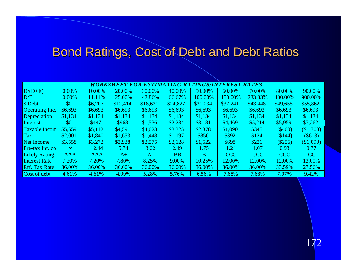## Bond Ratings, Cost of Debt and Debt Ratios

| WORKSHEET FOR ESTIMATING RATINGS/INTEREST RATES |            |            |          |          |           |          |            |            |           |           |
|-------------------------------------------------|------------|------------|----------|----------|-----------|----------|------------|------------|-----------|-----------|
| $D/(D+E)$                                       | $0.00\%$   | 10.00%     | 20.00%   | 30.00%   | 40.00%    | 50.00%   | 60.00%     | 70.00%     | 80.00%    | 90.00%    |
| D/E                                             | $0.00\%$   | 11.11%     | 25.00%   | 42.86%   | 66.67%    | 100.00%  | 150.00%    | 233.33%    | 400.00%   | 900.00%   |
| \$ Debt                                         | \$0        | \$6,207    | \$12,414 | \$18,621 | \$24,827  | \$31,034 | \$37,241   | \$43,448   | \$49,655  | \$55,862  |
| <b>Operating Inc.</b>                           | \$6,693    | \$6,693    | \$6,693  | \$6,693  | \$6,693   | \$6,693  | \$6,693    | \$6,693    | \$6,693   | \$6,693   |
| Depreciation                                    | \$1,134    | \$1,134    | \$1,134  | \$1,134  | \$1,134   | \$1,134  | \$1,134    | \$1,134    | \$1,134   | \$1,134   |
| Interest                                        | $\$0$      | \$447      | \$968    | \$1,536  | \$2,234   | \$3,181  | \$4,469    | \$5,214    | \$5,959   | \$7,262   |
| <b>Taxable Incom</b>                            | \$5,559    | \$5,112    | \$4,591  | \$4,023  | \$3,325   | \$2,378  | \$1,090    | \$345      | $(\$400)$ | (\$1,703) |
| <b>Tax</b>                                      | \$2,001    | \$1,840    | \$1,653  | \$1,448  | \$1,197   | \$856    | \$392      | \$124      | (\$144)   | (\$613)   |
| <b>Net Income</b>                               | \$3,558    | \$3,272    | \$2,938  | \$2,575  | \$2,128   | \$1,522  | \$698      | \$221      | (\$256)   | \$1,090   |
| Pre-tax Int. co                                 |            | 12.44      | 5.74     | 3.62     | 2.49      | 1.75     | 1.24       | 1.07       | 0.93      | 0.77      |
| <b>Likely Rating</b>                            | <b>AAA</b> | <b>AAA</b> | $A+$     | $A-$     | <b>BB</b> | B        | <b>CCC</b> | <b>CCC</b> | CCC       | CC        |
| <b>Interest Rate</b>                            | 7.20%      | 7.20%      | 7.80%    | 8.25%    | 9.00%     | 10.25%   | 12.00%     | 12.00%     | 12.00%    | 13.00%    |
| <b>Eff.</b> Tax Rate                            | 36.00%     | 36.00%     | 36.00%   | 36.00%   | 36.00%    | 36.00%   | 36.00%     | 36.00%     | 33.59%    | 27.56%    |
| Cost of debt                                    | 4.61%      | 4.61%      | 4.99%    | 5.28%    | 5.76%     | 6.56%    | 7.68%      | 7.68%      | 7.97%     | 9.42%     |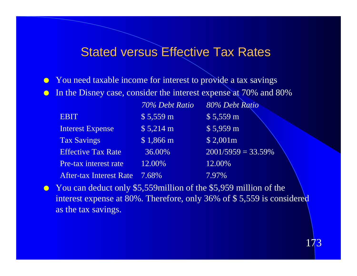#### Stated versus Effective Tax Rates

- You need taxable income for interest to provide a tax savings
- **In the Disney case, consider the interest expense at 70% and 80%**

|                                | 70% Debt Ratio     | 80% Debt Ratio        |
|--------------------------------|--------------------|-----------------------|
| <b>EBIT</b>                    | $$5,559$ m         | $$5,559 \text{ m}$    |
| <b>Interest Expense</b>        | \$5,214 m          | $$5,959 \text{ m}$    |
| <b>Tax Savings</b>             | $$1,866 \text{ m}$ | \$2,001m              |
| <b>Effective Tax Rate</b>      | 36.00%             | $2001/5959 = 33.59\%$ |
| Pre-tax interest rate          | 12.00%             | 12.00%                |
| <b>After-tax Interest Rate</b> | $7.68\%$           | 7.97%                 |

• You can deduct only \$5,559million of the \$5,959 million of the interest expense at 80%. Therefore, only 36% of \$ 5,559 is considered as the tax savings.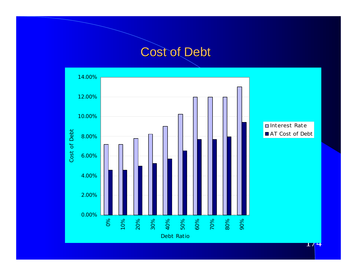### Cost of Debt

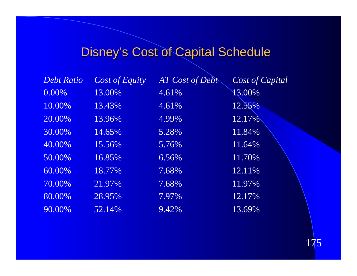## Disney's Cost of Capital Schedule

| <b>Debt Ratio</b> | Cost of Equity | AT Cost of Debt | Cost of Capital |
|-------------------|----------------|-----------------|-----------------|
| 0.00%             | 13.00%         | $4.61\%$        | 13.00%          |
| 10.00%            | 13.43%         | 4.61%           | 12.55%          |
| 20.00%            | 13.96%         | 4.99%           | 12.17%          |
| 30.00%            | 14.65%         | 5.28%           | 11.84%          |
| 40.00%            | 15.56%         | 5.76%           | 11.64%          |
| 50.00%            | 16.85%         | 6.56%           | 11.70%          |
| 60.00%            | 18.77%         | 7.68%           | 12.11%          |
| 70.00%            | 21.97%         | 7.68%           | 11.97%          |
| 80.00%            | 28.95%         | 7.97%           | 12.17%          |
| 90.00%            | 52.14%         | 9.42%           | 13.69%          |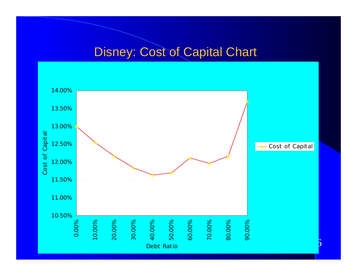### Disney: Cost of Capital Chart

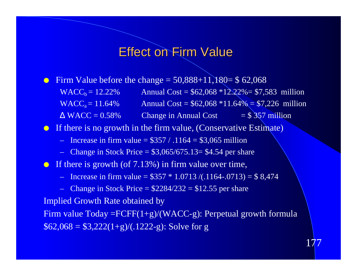#### Effect on Firm Value

- **•** Firm Value before the change  $= 50,888+11,180 = $62,068$ 
	- $WACC_b = 12.22\%$  Annual Cost = \$62,068 \*12.22%= \$7,583 million  $WACC_a = 11.64\%$  Annual Cost = \$62,068 \*11.64% = \$7,226 million  $WACC = 0.58\%$  Change in Annual Cost = \$ 357 million
- If there is no growth in the firm value, (Conservative Estimate)
	- Increase in firm value =  $$357 / .1164 = $3,065$  million
	- Change in Stock Price =  $$3,065/675.13 = $4.54$  per share
- If there is growth (of  $7.13\%$ ) in firm value over time,
	- Increase in firm value =  $$357 * 1.0713 / (.1164-.0713) = $8,474$
	- Change in Stock Price  $=$  \$2284/232  $=$  \$12.55 per share

Implied Growth Rate obtained by

Firm value  $Today = FCFF(1+g)/(WACC-g)$ : Perpetual growth formula  $$62,068 = $3,222(1+g)/(.1222-g):$  Solve for g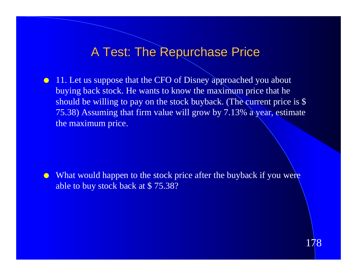#### A Test: The Repurchase Price

**11. Let us suppose that the CFO of Disney approached you about** buying back stock. He wants to know the maximum price that he should be willing to pay on the stock buyback. (The current price is \$ 75.38) Assuming that firm value will grow by 7.13% a year, estimate the maximum price.

• What would happen to the stock price after the buyback if you were able to buy stock back at \$ 75.38?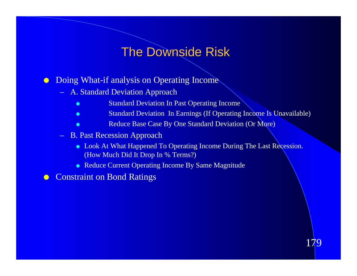### The Downside Risk

**• Doing What-if analysis on Operating Income** 

- A. Standard Deviation Approach
	- Standard Deviation In Past Operating Income
	- **e** Standard Deviation In Earnings (If Operating Income Is Unavailable)
	- Reduce Base Case By One Standard Deviation (Or More)
- B. Past Recession Approach
	- Look At What Happened To Operating Income During The Last Recession. (How Much Did It Drop In % Terms?)
	- Reduce Current Operating Income By Same Magnitude

**Constraint on Bond Ratings**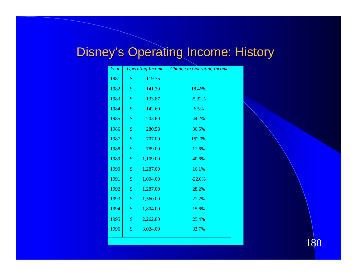## Disney's Operating Income: History

| Year | <b>Operating Income</b> |          | <b>Change in Operating Income</b> |
|------|-------------------------|----------|-----------------------------------|
| 1981 | \$                      | 119.35   |                                   |
| 1982 | \$                      | 141.39   | 18.46%                            |
| 1983 | \$                      | 133.87   | $-5.32%$                          |
| 1984 | \$                      | 142.60   | 6.5%                              |
| 1985 | \$                      | 205.60   | 44.2%                             |
| 1986 | \$                      | 280.58   | 36.5%                             |
| 1987 | \$                      | 707.00   | 152.0%                            |
| 1988 | \$                      | 789.00   | 11.6%                             |
| 1989 | \$                      | 1,109.00 | 40.6%                             |
| 1990 | \$                      | 1,287.00 | 16.1%                             |
| 1991 | \$                      | 1,004.00 | $-22.0%$                          |
| 1992 | \$                      | 1,287.00 | 28.2%                             |
| 1993 | \$                      | 1,560.00 | 21.2%                             |
| 1994 | \$                      | 1,804.00 | 15.6%                             |
| 1995 | \$                      | 2,262.00 | 25.4%                             |
| 1996 | \$                      | 3,024.00 | 33.7%                             |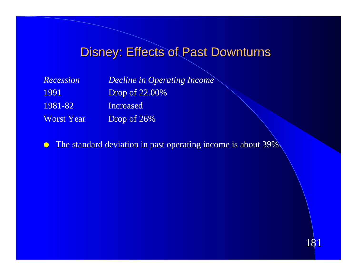## Disney: Effects of Past Downturns

| <b>Recession</b>  | <b>Decline in Operating Income</b> |
|-------------------|------------------------------------|
| 1991              | <b>Drop of 22.00%</b>              |
| 1981-82           | Increased                          |
| <b>Worst Year</b> | Drop of $26\%$                     |

**C** The standard deviation in past operating income is about 39%.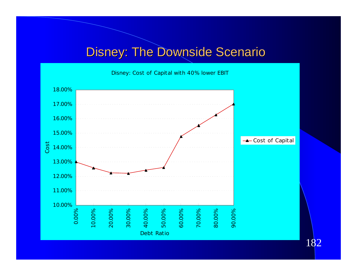### **Disney: The Downside Scenario**

Disney: Cost of Capital with 40% lower EBIT

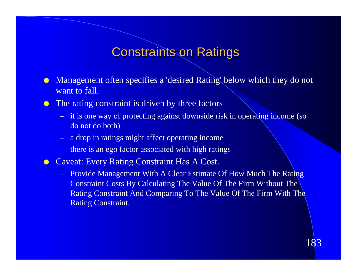#### Constraints on Ratings

- Management often specifies a 'desired Rating' below which they do not want to fall.
- **IDE** The rating constraint is driven by three factors
	- it is one way of protecting against downside risk in operating income (so do not do both)
	- a drop in ratings might affect operating income
	- there is an ego factor associated with high ratings
- **Caveat: Every Rating Constraint Has A Cost.** 
	- Provide Management With A Clear Estimate Of How Much The Rating Constraint Costs By Calculating The Value Of The Firm Without The Rating Constraint And Comparing To The Value Of The Firm With The Rating Constraint.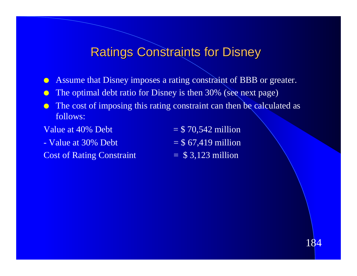#### Ratings Constraints for Disney

- **Assume that Disney imposes a rating constraint of BBB or greater.**
- **The optimal debt ratio for Disney is then 30% (see next page)**
- $\bullet$  The cost of imposing this rating constraint can then be calculated as follows:
- 
- Value at  $30\%$  Debt  $= $67,419$  million
- Cost of Rating Constraint  $= $3,123$  million
- Value at  $40\%$  Debt  $=$  \$ 70,542 million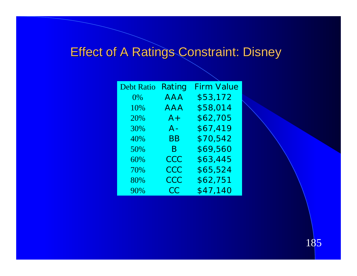## **Effect of A Ratings Constraint: Disney**

| <b>Debt Ratio</b> | Rating     | <b>Firm Value</b> |
|-------------------|------------|-------------------|
| $0\%$             | <b>AAA</b> | \$53,172          |
| 10%               | AAA        | \$58,014          |
| 20%               | $A+$       | \$62,705          |
| 30%               | $A -$      | \$67,419          |
| 40%               | BΒ         | \$70,542          |
| 50%               | B.         | \$69,560          |
| 60%               | CCC        | \$63,445          |
| 70%               | CCC        | \$65,524          |
| 80%               | CCC        | \$62,751          |
| 90%               | <b>CC</b>  | \$47,140          |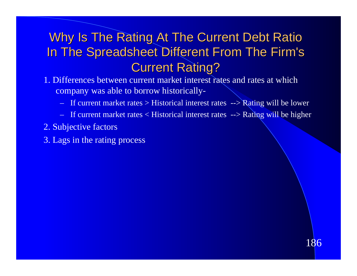### Why Is The Rating At The Current Debt Ratio In The Spreadsheet Different From The Firm's Current Rating?

- 1. Differences between current market interest rates and rates at which company was able to borrow historically-
	- If current market rates > Historical interest rates --> Rating will be lower
	- If current market rates < Historical interest rates --> Rating will be higher
- 2. Subjective factors
- 3. Lags in the rating process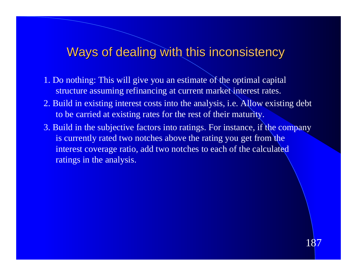#### Ways of dealing with this inconsistency

- 1. Do nothing: This will give you an estimate of the optimal capital structure assuming refinancing at current market interest rates.
- 2. Build in existing interest costs into the analysis, i.e. Allow existing debt to be carried at existing rates for the rest of their maturity.
- 3. Build in the subjective factors into ratings. For instance, if the company is currently rated two notches above the rating you get from the interest coverage ratio, add two notches to each of the calculated ratings in the analysis.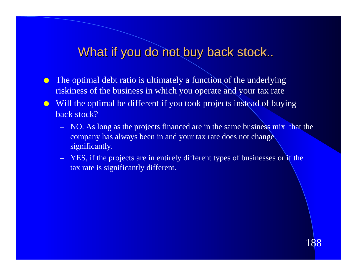#### What if you do not buy back stock..

- $\bullet$  The optimal debt ratio is ultimately a function of the underlying riskiness of the business in which you operate and your tax rate
- **ID** Will the optimal be different if you took projects instead of buying back stock?
	- NO. As long as the projects financed are in the same business mix that the company has always been in and your tax rate does not change significantly.
	- YES, if the projects are in entirely different types of businesses or if the tax rate is significantly different.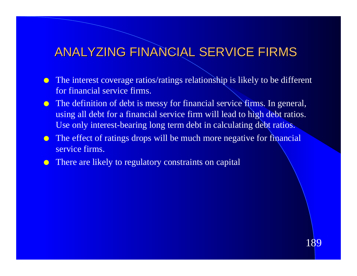### ANALYZING FINANCIAL SERVICE FIRMS

- The interest coverage ratios/ratings relationship is likely to be different for financial service firms.
- **The definition of debt is messy for financial service firms. In general,** using all debt for a financial service firm will lead to high debt ratios. Use only interest-bearing long term debt in calculating debt ratios.
- The effect of ratings drops will be much more negative for financial service firms.
- **There are likely to regulatory constraints on capital**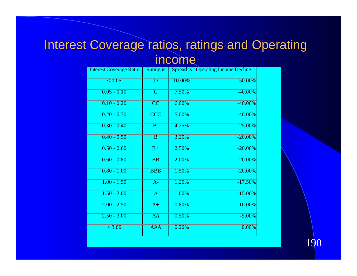### Interest Coverage ratios, ratings and Operating income

| <b>Interest Coverage Ratio</b> | <b>Rating is</b>        |        | <b>Spread is Operating Income Decline</b> |
|--------------------------------|-------------------------|--------|-------------------------------------------|
| $\overline{< 0.05}$            | $\overline{\text{D}}$   | 10.00% | $-50.00\%$                                |
| $0.05 - 0.10$                  | $\overline{\mathsf{C}}$ | 7.50%  | $-40.00\%$                                |
| $0.10 - 0.20$                  | $\overline{\text{CC}}$  | 6.00%  | $-40.00\%$                                |
| $0.20 - 0.30$                  | $\overline{\text{CCC}}$ | 5.00%  | $-40.00\%$                                |
| $0.30 - 0.40$                  | $\overline{B}$          | 4.25%  | $-25.00%$                                 |
| $0.40 - 0.50$                  | $\overline{B}$          | 3.25%  | $-20.00%$                                 |
| $0.50 - 0.60$                  | $B+$                    | 2.50%  | $-20.00\%$                                |
| $0.60 - 0.80$                  | $\overline{BB}$         | 2.00%  | $-20.00%$                                 |
| $0.80 - 1.00$                  | <b>BBB</b>              | 1.50%  | $-20.00%$                                 |
| $1.00 - 1.50$                  | $\overline{A}$ -        | 1.25%  | $-17.50%$                                 |
| $1.50 - 2.00$                  | $\overline{\mathbf{A}}$ | 1.00%  | $-15.00%$                                 |
| $2.00 - 2.50$                  | $\overline{A+}$         | 0.80%  | $-10.00\%$                                |
| $2.50 - 3.00$                  | $\overline{AA}$         | 0.50%  | $-5.00\%$                                 |
| > 3.00                         | <b>AAA</b>              | 0.20%  | 0.00%                                     |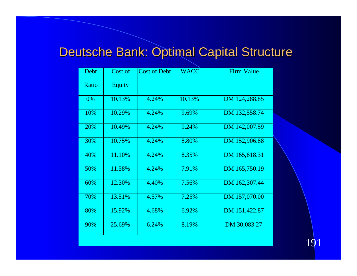# Deutsche Bank: Optimal Capital Structure

| Debt  | Cost of       | <b>Cost of Debt</b> | <b>WACC</b> | <b>Firm Value</b> |
|-------|---------------|---------------------|-------------|-------------------|
| Ratio | <b>Equity</b> |                     |             |                   |
| 0%    | 10.13%        | 4.24%               | 10.13%      | DM 124,288.85     |
| 10%   | 10.29%        | 4.24%               | 9.69%       | DM 132,558.74     |
| 20%   | 10.49%        | 4.24%               | 9.24%       | DM 142,007.59     |
| 30%   | 10.75%        | 4.24%               | 8.80%       | DM 152,906.88     |
| 40%   | 11.10%        | 4.24%               | 8.35%       | DM 165,618.31     |
| 50%   | 11.58%        | 4.24%               | 7.91%       | DM 165,750.19     |
| 60%   | 12.30%        | 4.40%               | 7.56%       | DM 162,307.44     |
| 70%   | 13.51%        | 4.57%               | 7.25%       | DM 157,070.00     |
| 80%   | 15.92%        | 4.68%               | 6.92%       | DM 151,422.87     |
| 90%   | 25.69%        | 6.24%               | 8.19%       | DM 30,083.27      |

191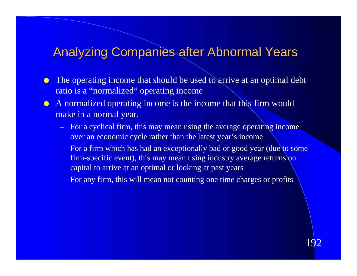### **Analyzing Companies after Abnormal Years**

- The operating income that should be used to arrive at an optimal debt ratio is a "normalized" operating income
- A normalized operating income is the income that this firm would make in a normal year.
	- For a cyclical firm, this may mean using the average operating income over an economic cycle rather than the latest year's income
	- $-$  For a firm which has had an exceptionally bad or good year (due to some firm-specific event), this may mean using industry average returns on capital to arrive at an optimal or looking at past years
	- For any firm, this will mean not counting one time charges or profits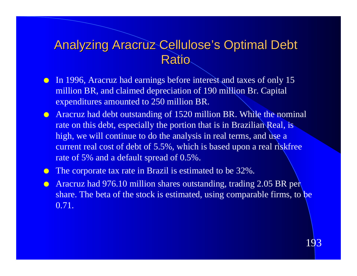#### Analyzing Aracruz Cellulose's Optimal Debt **Ratio**

- **In 1996, Aracruz had earnings before interest and taxes of only 15** million BR, and claimed depreciation of 190 million Br. Capital expenditures amounted to 250 million BR.
- **C** Aracruz had debt outstanding of 1520 million BR. While the nominal rate on this debt, especially the portion that is in Brazilian Real, is high, we will continue to do the analysis in real terms, and use a current real cost of debt of 5.5%, which is based upon a real riskfree rate of 5% and a default spread of 0.5%.
- The corporate tax rate in Brazil is estimated to be 32%.
- **C** Aracruz had 976.10 million shares outstanding, trading 2.05 BR per share. The beta of the stock is estimated, using comparable firms, to be 0.71.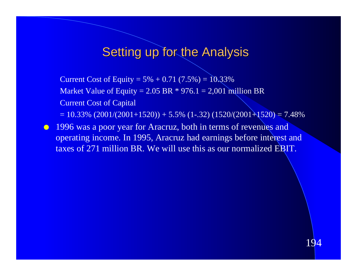#### **Setting up for the Analysis**

Current Cost of Equity =  $5\% + 0.71$  (7.5%) =  $10.33\%$ Market Value of Equity =  $2.05$  BR  $*$  976.1 =  $2,001$  million BR Current Cost of Capital  $= 10.33\%$  (2001/(2001+1520)) + 5.5% (1-.32) (1520/(2001+1520) = 7.48%

**1996 was a poor year for Aracruz, both in terms of revenues and** operating income. In 1995, Aracruz had earnings before interest and taxes of 271 million BR. We will use this as our normalized EBIT.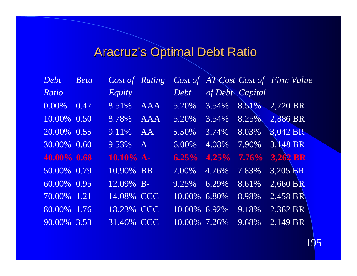# Aracruz's Optimal Debt Ratio

| Debt          | <b>Beta</b>              |               |                 |                       |                 | Cost of Rating Cost of AT Cost Cost of Firm Value |  |
|---------------|--------------------------|---------------|-----------------|-----------------------|-----------------|---------------------------------------------------|--|
| Ratio         |                          | <i>Equity</i> | Debt            |                       | of Debt Capital |                                                   |  |
| $0.00\%$ 0.47 |                          | 8.51% AAA     |                 |                       |                 | 5.20% 3.54% 8.51% 2,720 BR                        |  |
|               | $10.00\%$ 0.50 8.78% AAA |               |                 |                       |                 | $5.20\%$ $3.54\%$ $8.25\%$ $2,886$ BR             |  |
|               | 20.00% 0.55              | $9.11\%$ AA   |                 | 5.50% 3.74% 8.03%     |                 | 3,042 BR                                          |  |
| 30.00% 0.60   |                          | $9.53\%$ A    | 6.00%           |                       |                 | 4.08% 7.90% 3.148 BR                              |  |
| 40.00% 0.68   |                          |               |                 |                       |                 | 10.10% A- 6.25% 4.25% 7.76% 3,262 BR              |  |
|               | 50.00% 0.79              | 10.90% BB     |                 | $7.00\%$ 4.76% 7.83%  |                 | 3,205 BR                                          |  |
| 60.00% 0.95   |                          | 12.09% B-     | 9.25% 6.29%     |                       | 8.61%           | $2,660$ BR                                        |  |
| 70.00% 1.21   |                          | 14.08% CCC    |                 | $10.00\%$ 6.80% 8.98% |                 | $2,458$ BR                                        |  |
| 80.00% 1.76   |                          | 18.23% CCC    | $10.00\%$ 6.92% |                       | 9.18%           | $2,362$ BR                                        |  |
| 90.00% 3.53   |                          | 31.46% CCC    | $10.00\%$ 7.26% |                       | 9.68%           | 2,149 BR                                          |  |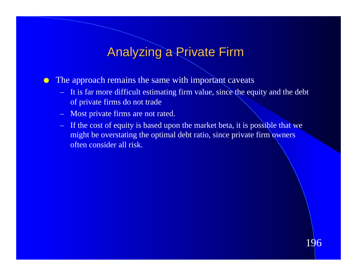#### Analyzing a Private Firm

 $\bullet$  The approach remains the same with important caveats

- It is far more difficult estimating firm value, since the equity and the debt of private firms do not trade
- Most private firms are not rated.
- If the cost of equity is based upon the market beta, it is possible that we might be overstating the optimal debt ratio, since private firm owners often consider all risk.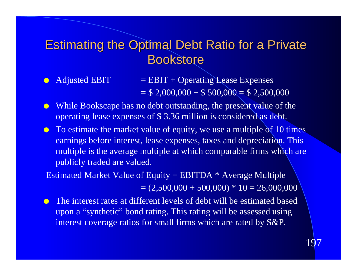### Estimating the Optimal Debt Ratio for a Private **Bookstore**

- $\text{Adjusted EBIT}$  = EBIT + Operating Lease Expenses  $= $ 2,000,000 + $ 500,000 = $ 2,500,000$
- While Bookscape has no debt outstanding, the present value of the operating lease expenses of \$ 3.36 million is considered as debt.
- $\bullet$  To estimate the market value of equity, we use a multiple of 10 times earnings before interest, lease expenses, taxes and depreciation. This multiple is the average multiple at which comparable firms which are publicly traded are valued.

 Estimated Market Value of Equity = EBITDA \* Average Multiple  $= (2,500,000 + 500,000) * 10 = 26,000,000$ 

l The interest rates at different levels of debt will be estimated based upon a "synthetic" bond rating. This rating will be assessed using interest coverage ratios for small firms which are rated by S&P.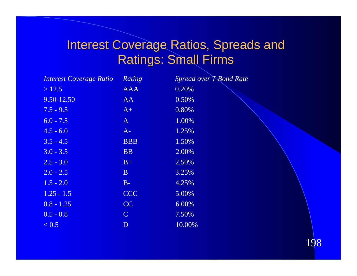## Interest Coverage Ratios, Spreads and Ratings: Small Firms

| <b>Interest Coverage Ratio</b> | Rating       | Spread over T-Bond Rate |
|--------------------------------|--------------|-------------------------|
| >12.5                          | <b>AAA</b>   | 0.20%                   |
| 9.50-12.50                     | AA           | 0.50%                   |
| $7.5 - 9.5$                    | $A+$         | 0.80%                   |
| $6.0 - 7.5$                    | $\mathbf{A}$ | 1.00%                   |
| $4.5 - 6.0$                    | $A-$         | 1.25%                   |
| $3.5 - 4.5$                    | <b>BBB</b>   | 1.50%                   |
| $3.0 - 3.5$                    | <b>BB</b>    | 2.00%                   |
| $2.5 - 3.0$                    | $B+$         | 2.50%                   |
| $2.0 - 2.5$                    | $\mathbf{B}$ | 3.25%                   |
| $1.5 - 2.0$                    | $B-$         | 4.25%                   |
| $1.25 - 1.5$                   | <b>CCC</b>   | 5.00%                   |
| $0.8 - 1.25$                   | <b>CC</b>    | 6.00%                   |
| $0.5 - 0.8$                    | $\mathbf C$  | 7.50%                   |
| < 0.5                          | $\mathbf{D}$ | 10.00%                  |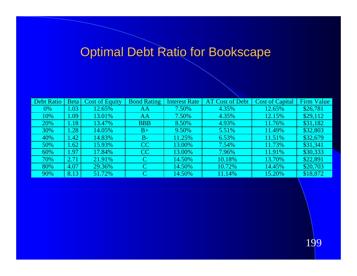# Optimal Debt Ratio for Bookscape

| <b>Debt Ratio</b> | <b>Beta</b> | <b>Cost of Equity</b> | <b>Bond Rating</b> | <b>Interest Rate</b> | <b>AT Cost of Debt</b> | <b>Cost of Capital</b> | <b>Firm Value</b> |
|-------------------|-------------|-----------------------|--------------------|----------------------|------------------------|------------------------|-------------------|
| 0%                | .03         | 12.65%                | AA                 | 7.50%                | 4.35%                  | 12.65%                 | \$26,781          |
| 10%               | L.09        | 13.01%                | AA                 | 7.50%                | 4.35%                  | 12.15%                 | \$29,112          |
| 20%               | 1.187       | 13.47%                | <b>BBB</b>         | 8.50%                | 4.93%                  | 11.76%                 | \$31,182          |
| 30%               | .28         | 14.05%                | $B+$               | 9.50%                | 5.51%                  | 11.49%                 | \$32,803          |
| 40%               | 1.42        | 14.83%                | $B-$               | 11.25%               | 6.53%                  | 11.51%                 | \$32,679          |
| 50%               | .62         | 15.93%                | CC                 | 13.00%               | 7.54%                  | 11.73%                 | \$31,341          |
| 60%               | .97         | 17.84%                | CC                 | 13.00%               | 7.96%                  | 11.91%                 | \$30,333          |
| 70%               | 2.71        | 21.91%                | C                  | 14.50%               | 10.18%                 | 13.70%                 | \$22,891          |
| 80%               | 4.07        | 29.36%                |                    | 14.50%               | 10.72%                 | 14.45%                 | \$20,703          |
| 90%               | 8.13        | 51.72%                | C                  | 14.50%               | 11.14%                 | 15.20%                 | \$18,872          |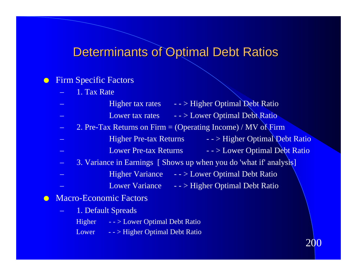#### Determinants of Optimal Debt Ratios

#### **C** Firm Specific Factors

1. Tax Rate

| $\left  \cdot \right $ - $>$ Higher Optimal Debt Ratio<br>Higher tax rates   |
|------------------------------------------------------------------------------|
| $-$ > Lower Optimal Debt Ratio<br>Lower tax rates                            |
| 2. Pre-Tax Returns on Firm = (Operating Income) / MV of Firm                 |
| - - > Higher Optimal Debt Ratio<br><b>Higher Pre-tax Returns</b>             |
| $\frac{1}{2}$ - $>$ Lower Optimal Debt Ratio<br><b>Lower Pre-tax Returns</b> |
| 3. Variance in Earnings [ Shows up when you do 'what if' analysis]           |
| $\rightarrow$ - $>$ Lower Optimal Debt Ratio<br><b>Higher Variance</b>       |
| <b>Lower Variance</b><br>$\rightarrow$ - $>$ Higher Optimal Debt Ratio       |
| <b>Macro-Economic Factors</b>                                                |
| 1. Default Spreads                                                           |

200

- Higher - > Lower Optimal Debt Ratio
- Lower - > Higher Optimal Debt Ratio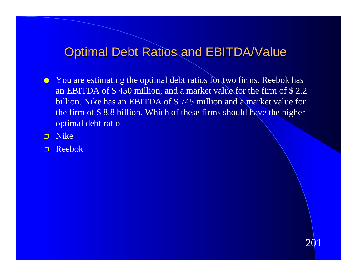#### Optimal Debt Ratios and EBITDA/Value

- You are estimating the optimal debt ratios for two firms. Reebok has an EBITDA of \$ 450 million, and a market value for the firm of \$ 2.2 billion. Nike has an EBITDA of \$ 745 million and a market value for the firm of \$ 8.8 billion. Which of these firms should have the higher optimal debt ratio
- p Nike
- p Reebok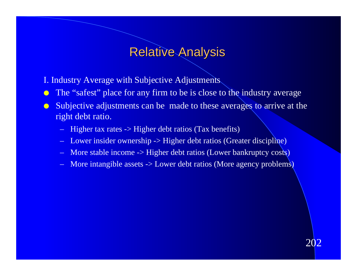#### Relative Analysis

- I. Industry Average with Subjective Adjustments
- **In the "safest" place for any firm to be is close to the industry average**
- **In Subjective adjustments can be made to these averages to arrive at the** right debt ratio.
	- Higher tax rates -> Higher debt ratios (Tax benefits)
	- Lower insider ownership -> Higher debt ratios (Greater discipline)
	- More stable income -> Higher debt ratios (Lower bankruptcy costs)
	- More intangible assets -> Lower debt ratios (More agency problems)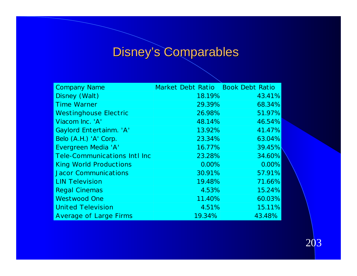# Disney's Comparables

| <b>Company Name</b>                 | Market Debt Ratio   Book Debt Ratio |        |
|-------------------------------------|-------------------------------------|--------|
| Disney (Walt)                       | 18.19%                              | 43.41% |
| <b>Time Warner</b>                  | 29.39%                              | 68.34% |
| <b>Westinghouse Electric</b>        | 26.98%                              | 51.97% |
| Viacom Inc. 'A'                     | 48.14%                              | 46.54% |
| Gaylord Entertainm. 'A'             | 13.92%                              | 41.47% |
| Belo (A.H.) 'A' Corp.               | 23.34%                              | 63.04% |
| Evergreen Media 'A'                 | 16.77%                              | 39.45% |
| <b>Tele-Communications Intl Inc</b> | 23.28%                              | 34.60% |
| <b>King World Productions</b>       | 0.00%                               | 0.00%  |
| <b>Jacor Communications</b>         | 30.91%                              | 57.91% |
| <b>LIN Television</b>               | 19.48%                              | 71.66% |
| <b>Regal Cinemas</b>                | 4.53%                               | 15.24% |
| <b>Westwood One</b>                 | 11.40%                              | 60.03% |
| <b>United Television</b>            | 4.51%                               | 15.11% |
| <b>Average of Large Firms</b>       | 19.34%                              | 43.48% |

203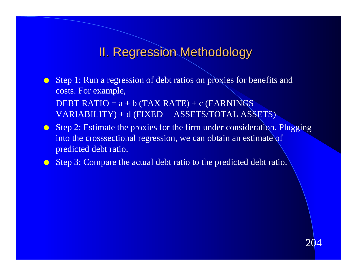#### II. Regression Methodology

- **C** Step 1: Run a regression of debt ratios on proxies for benefits and costs. For example, DEBT RATIO =  $a + b$  (TAX RATE) + c (EARNINGS) VARIABILITY) + d (FIXED ASSETS/TOTAL ASSETS)
- $\bullet$  Step 2: Estimate the proxies for the firm under consideration. Plugging into the crosssectional regression, we can obtain an estimate of predicted debt ratio.
- **C** Step 3: Compare the actual debt ratio to the predicted debt ratio.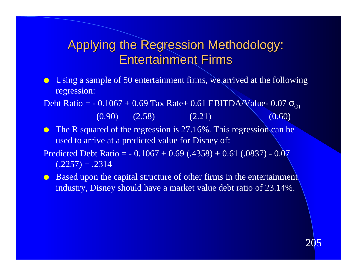### Applying the Regression Methodology: Entertainment Firms

Using a sample of 50 entertainment firms, we arrived at the following regression:

Debt Ratio =  $-0.1067 + 0.69$  Tax Rate+ 0.61 EBITDA/Value- 0.07

- $(0.90)$   $(2.58)$   $(2.21)$   $(0.60)$
- $\bullet$  The R squared of the regression is 27.16%. This regression can be used to arrive at a predicted value for Disney of:
- Predicted Debt Ratio =  $-0.1067 + 0.69$  (.4358) + 0.61 (.0837) 0.07  $(.2257) = .2314$
- **Based upon the capital structure of other firms in the entertainment** industry, Disney should have a market value debt ratio of 23.14%.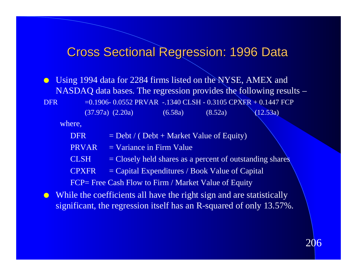#### Cross Sectional Regression: 1996 Data

**I** Using 1994 data for 2284 firms listed on the NYSE, AMEX and NASDAQ data bases. The regression provides the following results – DFR  $=0.1906 - 0.0552$  PRVAR  $-1340$  CLSH  $- 0.3105$  CPXFR  $+ 0.1447$  FCP (37.97a) (2.20a) (6.58a) (8.52a) (12.53a)

where,

DFR  $=$  Debt / ( Debt + Market Value of Equity)

- $PRVAR = Variance$  in Firm Value
- $CLSH$  = Closely held shares as a percent of outstanding shares
- $CPXFR = Capital Expenditures / Book Value of Capital$

FCP= Free Cash Flow to Firm / Market Value of Equity

 $\bullet$  While the coefficients all have the right sign and are statistically significant, the regression itself has an R-squared of only 13.57%.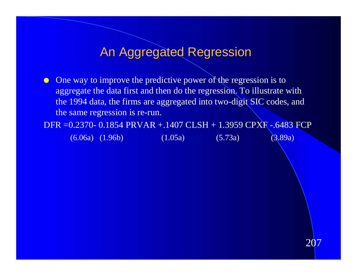#### An Aggregated Regression

 $\bullet$  One way to improve the predictive power of the regression is to aggregate the data first and then do the regression. To illustrate with the 1994 data, the firms are aggregated into two-digit SIC codes, and the same regression is re-run.

DFR =0.2370- 0.1854 PRVAR +.1407 CLSH + 1.3959 CPXF -.6483 FCP (6.06a) (1.96b) (1.05a) (5.73a) (3.89a)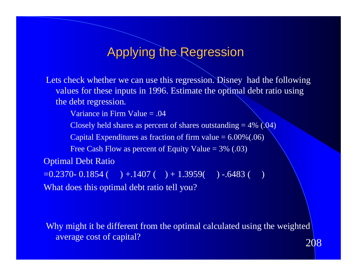#### Applying the Regression

Lets check whether we can use this regression. Disney had the following values for these inputs in 1996. Estimate the optimal debt ratio using the debt regression.

Variance in Firm Value = .04

Closely held shares as percent of shares outstanding  $= 4\%$  (.04)

Capital Expenditures as fraction of firm value  $= 6.00\%(.06)$ 

Free Cash Flow as percent of Equity Value  $= 3\%$  (.03)

Optimal Debt Ratio

 $=0.2370 - 0.1854$  ( )  $+ .1407$  ( )  $+ 1.3959$  ( )  $-.6483$  ( What does this optimal debt ratio tell you?

208 Why might it be different from the optimal calculated using the weighted average cost of capital?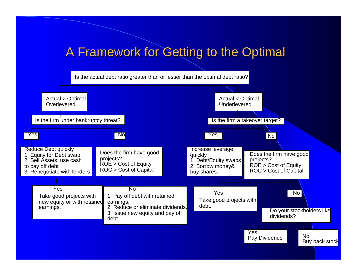#### A Framework for Getting to the Optimal

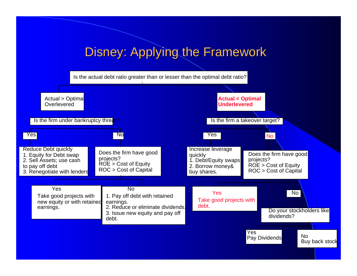### Disney: Applying the Framework

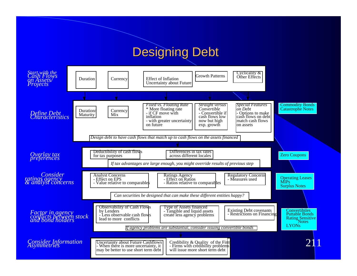#### Designing Debt

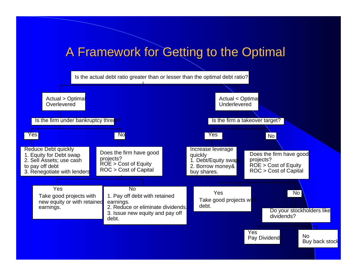#### A Framework for Getting to the Optimal

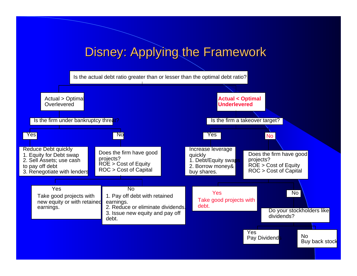### Disney: Applying the Framework

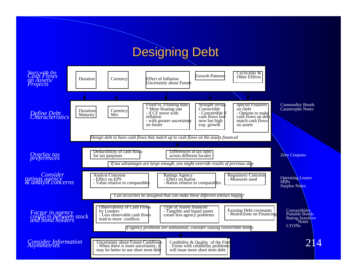#### Designing Debt

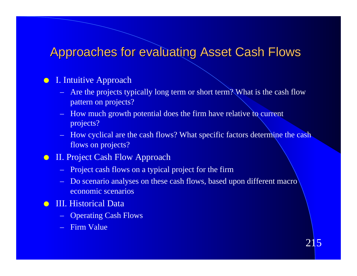#### Approaches for evaluating Asset Cash Flows

#### **•** I. Intuitive Approach

- Are the projects typically long term or short term? What is the cash flow pattern on projects?<br>
– How much growth potential does the firm have relative to current
- projects?
- How cyclical are the cash flows? What specific factors determine the cash flows on projects?

#### **II. Project Cash Flow Approach**

- Project cash flows on a typical project for the firm
- Do scenario analyses on these cash flows, based upon different macro economic scenarios
- **C** III. Historical Data
	- Operating Cash Flows
	- Firm Value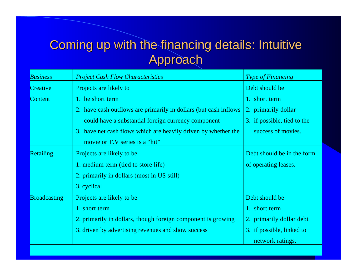## Coming up with the financing details: Intuitive Approach

| <b>Business</b>     | <b>Project Cash Flow Characteristics</b>                          | <b>Type of Financing</b>    |  |
|---------------------|-------------------------------------------------------------------|-----------------------------|--|
| Creative            | Projects are likely to                                            | Debt should be              |  |
| <b>Content</b>      | 1. be short term                                                  | 1. short term               |  |
|                     | 2. have cash outflows are primarily in dollars (but cash inflows) | 2. primarily dollar         |  |
|                     | could have a substantial foreign currency component               | 3. if possible, tied to the |  |
|                     | 3. have net cash flows which are heavily driven by whether the    | success of movies.          |  |
|                     | movie or T.V series is a "hit"                                    |                             |  |
| <b>Retailing</b>    | Projects are likely to be                                         | Debt should be in the form  |  |
|                     | 1. medium term (tied to store life)                               | of operating leases.        |  |
|                     | 2. primarily in dollars (most in US still)                        |                             |  |
|                     | 3. cyclical                                                       |                             |  |
| <b>Broadcasting</b> | Projects are likely to be                                         | Debt should be              |  |
|                     | 1. short term                                                     | 1. short term               |  |
|                     | 2. primarily in dollars, though foreign component is growing      | 2. primarily dollar debt    |  |
|                     | 3. driven by advertising revenues and show success                | 3. if possible, linked to   |  |
|                     |                                                                   | network ratings.            |  |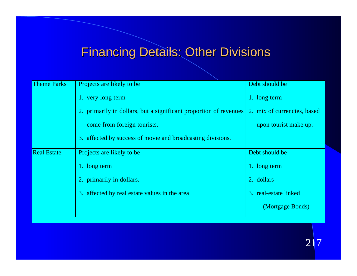# Financing Details: Other Divisions

| <b>Theme Parks</b> | Projects are likely to be                                         | Debt should be              |  |
|--------------------|-------------------------------------------------------------------|-----------------------------|--|
|                    | 1. very long term                                                 | 1. long term                |  |
|                    | 2. primarily in dollars, but a significant proportion of revenues | 2. mix of currencies, based |  |
|                    | come from foreign tourists.                                       | upon tourist make up.       |  |
|                    | 3. affected by success of movie and broadcasting divisions.       |                             |  |
| <b>Real Estate</b> | Projects are likely to be                                         | Debt should be              |  |
|                    | 1. long term                                                      | 1. long term                |  |
|                    | 2. primarily in dollars.                                          | 2. dollars                  |  |
|                    | 3. affected by real estate values in the area                     | 3. real-estate linked       |  |
|                    |                                                                   | (Mortgage Bonds)            |  |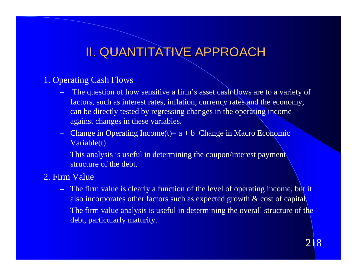## II. QUANTITATIVE APPROACH

#### 1. Operating Cash Flows

- The question of how sensitive a firm's asset cash flows are to a variety of factors, such as interest rates, inflation, currency rates and the economy, can be directly tested by regressing changes in the operating income against changes in these variables.
- Change in Operating Income $(t)$  = a + b Change in Macro Economic Variable(t)
- This analysis is useful in determining the coupon/interest payment structure of the debt.
- 2. Firm Value
	- The firm value is clearly a function of the level of operating income, but it also incorporates other factors such as expected growth & cost of capital.<br>- The firm value analysis is useful in determining the overall structure of the
	- debt, particularly maturity.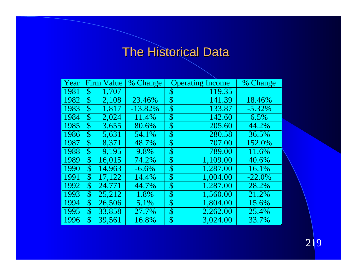# The Historical Data

| Year |                           | <b>Firm Value</b> | % Change   |                    | <b>Operating Income</b> | % Change  |
|------|---------------------------|-------------------|------------|--------------------|-------------------------|-----------|
| 1981 | \$                        | 1,707             |            | \$                 | 119.35                  |           |
| 1982 | \$                        | 2,108             | 23.46%     | \$                 | 141.39                  | 18.46%    |
| 1983 | $\mathbb{S}$              | 1,817             | $-13.82\%$ | $\boldsymbol{\$\}$ | 133.87                  | $-5.32\%$ |
| 1984 | $\boldsymbol{\$\}$        | 2,024             | 11.4%      | \$                 | 142.60                  | 6.5%      |
| 1985 | $\boldsymbol{\$\}$        | 3,655             | 80.6%      | $\boldsymbol{\$\}$ | 205.60                  | 44.2%     |
| 1986 | $\mathbb{S}$              | 5,631             | 54.1%      | \$                 | 280.58                  | 36.5%     |
| 1987 | \$                        | 8.371             | 48.7%      | $\boldsymbol{\$\}$ | 707.00                  | 152.0%    |
| 1988 | $\boldsymbol{\$\}$        | 9,195             | 9.8%       | $\boldsymbol{\$\}$ | 789.00                  | 11.6%     |
| 1989 | $\boldsymbol{\mathsf{S}}$ | 16,015            | 74.2%      | $\boldsymbol{\$\}$ | 1,109.00                | 40.6%     |
| 1990 | $\mathcal{S}$             | 14,963            | $-6.6%$    | $\boldsymbol{\$\}$ | 1,287.00                | 16.1%     |
| 1991 | $\mathcal{S}$             | 17,122            | 14.4%      | $\boldsymbol{\$\}$ | 1,004.00                | $-22.0\%$ |
| 1992 | $\mathbb{S}$              | 24,771            | 44.7%      | \$                 | 1,287.00                | 28.2%     |
| 1993 | \$                        | 25,212            | 1.8%       | \$                 | 1,560.00                | 21.2%     |
| 1994 | \$                        | 26,506            | 5.1%       | $\boldsymbol{\$\}$ | 1,804.00                | 15.6%     |
| 1995 | $\mathbf{\$\}$            | 33,858            | 27.7%      | $\boldsymbol{\$\}$ | 2,262.00                | 25.4%     |
| 1996 | $\boldsymbol{\mathsf{S}}$ | 39,561            | 16.8%      | $\boldsymbol{\$\}$ | 3,024.00                | 33.7%     |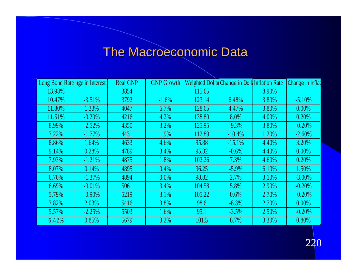# The Macroeconomic Data

| Long Bond Rate nge in Interest |           | <b>Real GNP</b> | <b>GNP Growth</b> | Weighted Dolla Change in Doll Inflation Rate |          |       | Change in Inflat |
|--------------------------------|-----------|-----------------|-------------------|----------------------------------------------|----------|-------|------------------|
| 13.98%                         |           | 3854            |                   | 115.65                                       |          | 8.90% |                  |
| 10.47%                         | $-3.51%$  | 3792            | $-1.6%$           | 123.14                                       | 6.48%    | 3.80% | $-5.10%$         |
| 11.80%                         | 1.33%     | 4047            | 6.7%              | 128.65                                       | 4.47%    | 3.80% | $0.00\%$         |
| 11.51%                         | $-0.29%$  | 4216            | 4.2%              | 138.89                                       | 8.0%     | 4.00% | 0.20%            |
| 8.99%                          | $-2.52%$  | 4350            | 3.2%              | 125.95                                       | $-9.3%$  | 3.80% | $-0.20%$         |
| 7.22%                          | $-1.77\%$ | 4431            | 1.9%              | 112.89                                       | $-10.4%$ | 1.20% | $-2.60%$         |
| 8.86%                          | 1.64%     | 4633            | $4.6\%$           | 95.88                                        | $-15.1%$ | 4.40% | 3.20%            |
| 9.14%                          | 0.28%     | 4789            | 3.4%              | 95.32                                        | $-0.6%$  | 4.40% | $0.00\%$         |
| 7.93%                          | $-1.21%$  | 4875            | 1.8%              | 102.26                                       | 7.3%     | 4.60% | 0.20%            |
| 8.07%                          | 0.14%     | 4895            | 0.4%              | 96.25                                        | $-5.9\%$ | 6.10% | 1.50%            |
| 6.70%                          | $-1.37\%$ | 4894            | $0.0\%$           | 98.82                                        | 2.7%     | 3.10% | $-3.00\%$        |
| 6.69%                          | $-0.01%$  | 5061            | 3.4%              | 104.58                                       | 5.8%     | 2.90% | $-0.20%$         |
| 5.79%                          | $-0.90\%$ | 5219            | 3.1%              | 105.22                                       | 0.6%     | 2.70% | $-0.20%$         |
| 7.82%                          | 2.03%     | 5416            | 3.8%              | 98.6                                         | $-6.3%$  | 2.70% | $0.00\%$         |
| 5.57%                          | $-2.25%$  | 5503            | 1.6%              | 95.1                                         | $-3.5%$  | 2.50% | $-0.20%$         |
| 6.42%                          | 0.85%     | 5679            | 3.2%              | 101.5                                        | 6.7%     | 3.30% | 0.80%            |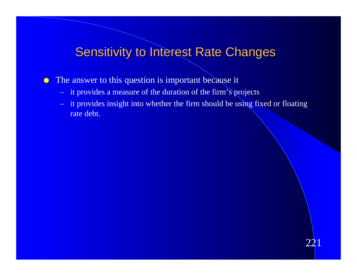#### Sensitivity to Interest Rate Changes

• The answer to this question is important because it

- it provides a measure of the duration of the firm's projects
- it provides insight into whether the firm should be using fixed or floating rate debt.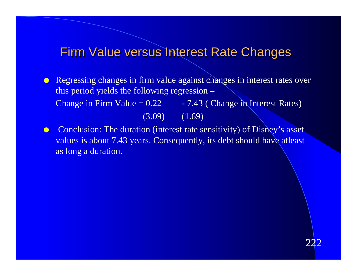#### Firm Value versus Interest Rate Changes

**Regressing changes in firm value against changes in interest rates over** this period yields the following regression – Change in Firm Value =  $0.22 - 7.43$  (Change in Interest Rates)  $(3.09)$   $(1.69)$ 

**Conclusion:** The duration (interest rate sensitivity) of Disney's asset values is about 7.43 years. Consequently, its debt should have atleast as long a duration.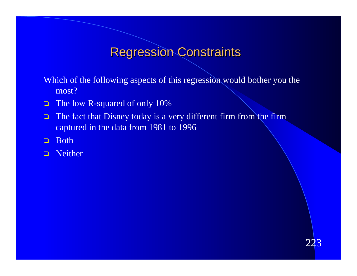#### Regression Constraints

Which of the following aspects of this regression would bother you the most?

- □ The low R-squared of only 10%
- The fact that Disney today is a very different firm from the firm captured in the data from 1981 to 1996
- o Both
- o Neither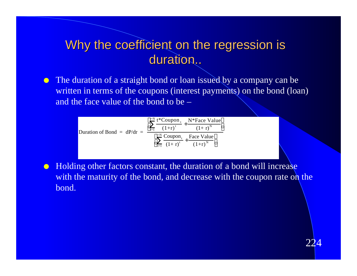#### Why the coefficient on the regression is duration..

• The duration of a straight bond or loan issued by a company can be written in terms of the coupons (interest payments) on the bond (loan) and the face value of the bond to be –

| Duration of Bond = $dP/dr$ = | <sup>t=N</sup> t*Coupon, N*Face Value<br>$(1 + r)^N$<br>$(1+r)^{t}$<br>$t=1$ |
|------------------------------|------------------------------------------------------------------------------|
|                              | $t=N$ Coupon, Face Value<br>$_{t=1}$ $(1+r)^{t}$<br>$(1+r)^N$                |

• Holding other factors constant, the duration of a bond will increase with the maturity of the bond, and decrease with the coupon rate on the bond.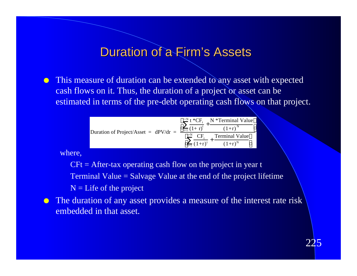#### Duration of a Firm's Assets

• This measure of duration can be extended to any asset with expected cash flows on it. Thus, the duration of a project or asset can be estimated in terms of the pre-debt operating cash flows on that project.

|                                        | <sup>t=N</sup> t *CF <sub>t</sub> N *Terminal Value |
|----------------------------------------|-----------------------------------------------------|
| Duration of Project/Asset = $dPV/dr$ = | $(1+r)^{N}$<br>$_{t=1}$ $(1+r)^{t}$                 |
|                                        | $t=N$<br><b>Terminal Value</b>                      |
|                                        | $(1+r)^N$<br>$_{t=1}$ $(1+r)^{t}$                   |

where,

 $CFt = After-tax operating cash flow on the project in year t$ Terminal Value = Salvage Value at the end of the project lifetime  $N =$  Life of the project



• The duration of any asset provides a measure of the interest rate risk embedded in that asset.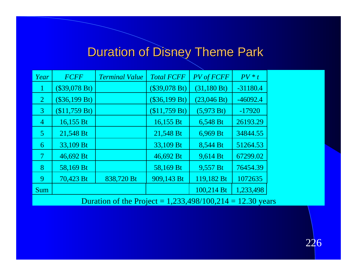# **Duration of Disney Theme Park**

| Year           | <b>FCFF</b>     | <b>Terminal Value</b> | <b>Total FCFF</b> | <b>PV</b> of <b>FCFF</b> | $PV * t$   |
|----------------|-----------------|-----------------------|-------------------|--------------------------|------------|
| 1              | (\$39,078 Bt)   |                       | (\$39,078 Bt)     | (31,180 Bt)              | $-31180.4$ |
| 2              | $(\$36,199 Bt)$ |                       | $(\$36,199 Bt)$   | (23,046 Bt)              | $-46092.4$ |
| $\mathbf{3}$   | (\$11,759 Bt)   |                       | (\$11,759 Bt)     | (5,973 Bt)               | $-17920$   |
| $\overline{4}$ | 16,155 Bt       |                       | 16,155 Bt         | 6,548 Bt                 | 26193.29   |
| $\overline{5}$ | 21,548 Bt       |                       | 21,548 Bt         | 6,969 Bt                 | 34844.55   |
| 6              | 33,109 Bt       |                       | 33,109 Bt         | 8,544 Bt                 | 51264.53   |
| 7              | 46,692 Bt       |                       | 46,692 Bt         | 9,614 Bt                 | 67299.02   |
| 8              | 58,169 Bt       |                       | 58,169 Bt         | 9,557 Bt                 | 76454.39   |
| 9              | 70,423 Bt       | 838,720 Bt            | 909,143 Bt        | 119,182 Bt               | 1072635    |
| Sum            |                 |                       |                   | 100,214 Bt               | 1,233,498  |

Duration of the Project =  $1,233,498/100,214 = 12.30$  years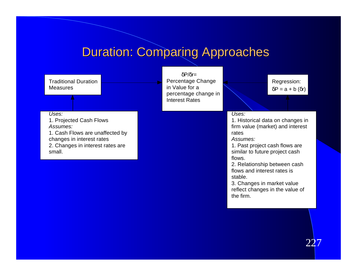# **Duration: Comparing Approaches**

| <b>Traditional Duration</b><br><b>Measures</b>                                                                                                             | $P/r =$<br>Percentage Change<br>in Value for a<br>percentage change in<br><b>Interest Rates</b> | Regression:<br>$P = a + b(r)$                                                                                                                                                                                                                                                                                                            |
|------------------------------------------------------------------------------------------------------------------------------------------------------------|-------------------------------------------------------------------------------------------------|------------------------------------------------------------------------------------------------------------------------------------------------------------------------------------------------------------------------------------------------------------------------------------------------------------------------------------------|
| Uses:<br>1. Projected Cash Flows<br>Assumes:<br>1. Cash Flows are unaffected by<br>changes in interest rates<br>2. Changes in interest rates are<br>small. |                                                                                                 | Uses:<br>1. Historical data on changes in<br>firm value (market) and interest<br>rates<br>Assumes:<br>1. Past project cash flows are<br>similar to future project cash<br>flows.<br>2. Relationship between cash<br>flows and interest rates is<br>stable.<br>3. Changes in market value<br>reflect changes in the value of<br>the firm. |
|                                                                                                                                                            |                                                                                                 |                                                                                                                                                                                                                                                                                                                                          |

227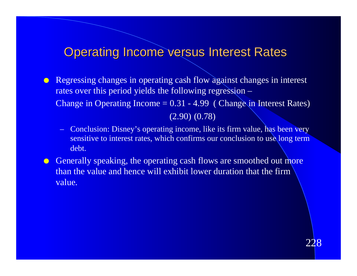# **Operating Income versus Interest Rates**

- **Regressing changes in operating cash flow against changes in interest** rates over this period yields the following regression – Change in Operating Income  $= 0.31 - 4.99$  (Change in Interest Rates) (2.90) (0.78)
	- Conclusion: Disney's operating income, like its firm value, has been very sensitive to interest rates, which confirms our conclusion to use long term debt.
- **C** Generally speaking, the operating cash flows are smoothed out more than the value and hence will exhibit lower duration that the firm value.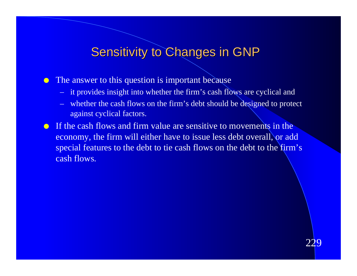# **Sensitivity to Changes in GNP**

• The answer to this question is important because

- it provides insight into whether the firm's cash flows are cyclical and
- whether the cash flows on the firm's debt should be designed to protect against cyclical factors.
- **If the cash flows and firm value are sensitive to movements in the** economy, the firm will either have to issue less debt overall, or add special features to the debt to tie cash flows on the debt to the firm's cash flows.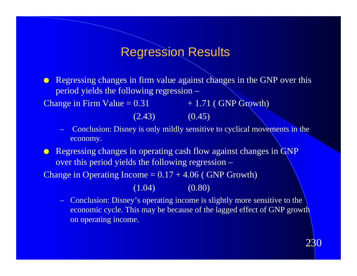#### Regression Results

**• Regressing changes in firm value against changes in the GNP** over this period yields the following regression –

Change in Firm Value =  $0.31 + 1.71$  ( GNP Growth)

 $(2.43)$   $(0.45)$ 

– Conclusion: Disney is only mildly sensitive to cyclical movements in the economy.

**Example 2** Regressing changes in operating cash flow against changes in GNP over this period yields the following regression –

Change in Operating Income  $= 0.17 + 4.06$  (GNP Growth)

 $(1.04)$   $(0.80)$ 

– Conclusion: Disney's operating income is slightly more sensitive to the economic cycle. This may be because of the lagged effect of GNP growth on operating income.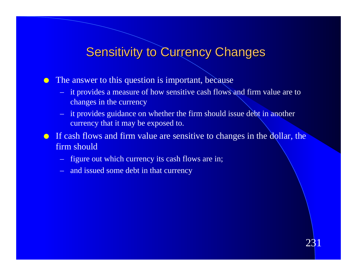# **Sensitivity to Currency Changes**

• The answer to this question is important, because

- it provides a measure of how sensitive cash flows and firm value are to changes in the currency
- it provides guidance on whether the firm should issue debt in another currency that it may be exposed to.

**If cash flows and firm value are sensitive to changes in the dollar, the** firm should

- figure out which currency its cash flows are in;
- and issued some debt in that currency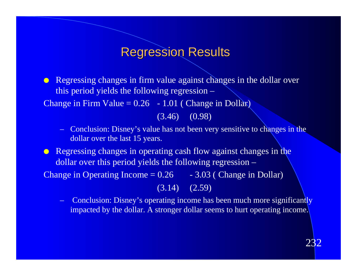#### Regression Results

**Regressing changes in firm value against changes in the dollar over** this period yields the following regression – Change in Firm Value =  $0.26$  - 1.01 (Change in Dollar)

(3.46) (0.98)

– Conclusion: Disney's value has not been very sensitive to changes in the dollar over the last 15 years.

**EXECUTE:** Regressing changes in operating cash flow against changes in the dollar over this period yields the following regression – Change in Operating Income  $= 0.26 - 3.03$  (Change in Dollar)

(3.14) (2.59)

**Conclusion: Disney's operating income has been much more significantly** impacted by the dollar. A stronger dollar seems to hurt operating income.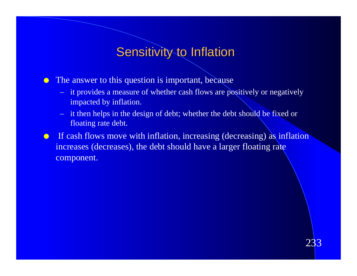# Sensitivity to Inflation

• The answer to this question is important, because

- it provides a measure of whether cash flows are positively or negatively impacted by inflation.
- it then helps in the design of debt; whether the debt should be fixed or floating rate debt.
- **If cash flows move with inflation, increasing (decreasing) as inflation** increases (decreases), the debt should have a larger floating rate component.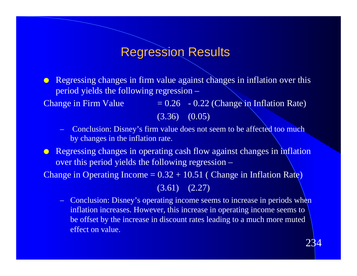#### Regression Results

 $\bullet$  Regressing changes in firm value against changes in inflation over this period yields the following regression –

Change in Firm Value  $= 0.26 - 0.22$  (Change in Inflation Rate) (3.36) (0.05)

- Conclusion: Disney's firm value does not seem to be affected too much by changes in the inflation rate.
- **In Regressing changes in operating cash flow against changes in inflation** over this period yields the following regression –

Change in Operating Income  $= 0.32 + 10.51$  (Change in Inflation Rate)

(3.61) (2.27)

– Conclusion: Disney's operating income seems to increase in periods when inflation increases. However, this increase in operating income seems to be offset by the increase in discount rates leading to a much more muted effect on value.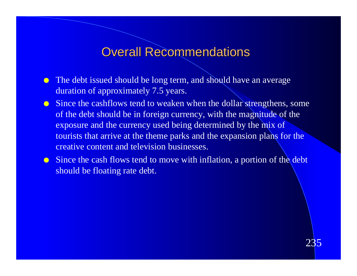### Overall Recommendations

- The debt issued should be long term, and should have an average duration of approximately 7.5 years.
- **Ince the cashflows tend to weaken when the dollar strengthens, some** of the debt should be in foreign currency, with the magnitude of the exposure and the currency used being determined by the mix of tourists that arrive at the theme parks and the expansion plans for the creative content and television businesses.
- **Ince the cash flows tend to move with inflation, a portion of the debt** should be floating rate debt.